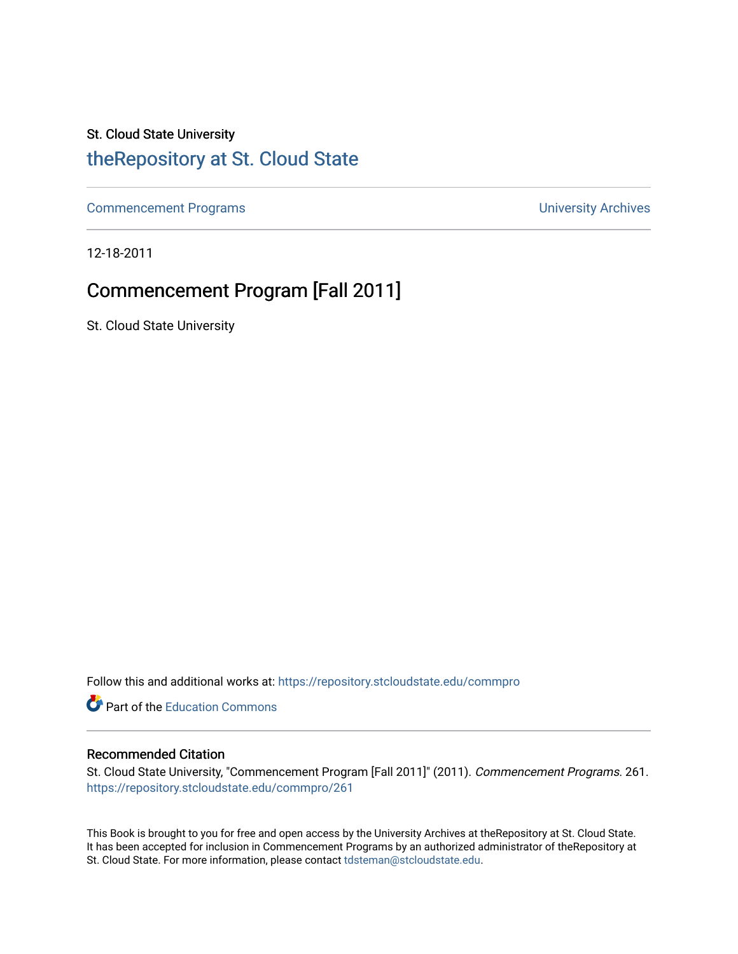## St. Cloud State University

### [theRepository at St. Cloud State](https://repository.stcloudstate.edu/)

[Commencement Programs](https://repository.stcloudstate.edu/commpro) **Commencement Programs University Archives** 

12-18-2011

### Commencement Program [Fall 2011]

St. Cloud State University

Follow this and additional works at: [https://repository.stcloudstate.edu/commpro](https://repository.stcloudstate.edu/commpro?utm_source=repository.stcloudstate.edu%2Fcommpro%2F261&utm_medium=PDF&utm_campaign=PDFCoverPages) 

Part of the [Education Commons](http://network.bepress.com/hgg/discipline/784?utm_source=repository.stcloudstate.edu%2Fcommpro%2F261&utm_medium=PDF&utm_campaign=PDFCoverPages)

#### Recommended Citation

St. Cloud State University, "Commencement Program [Fall 2011]" (2011). Commencement Programs. 261. [https://repository.stcloudstate.edu/commpro/261](https://repository.stcloudstate.edu/commpro/261?utm_source=repository.stcloudstate.edu%2Fcommpro%2F261&utm_medium=PDF&utm_campaign=PDFCoverPages) 

This Book is brought to you for free and open access by the University Archives at theRepository at St. Cloud State. It has been accepted for inclusion in Commencement Programs by an authorized administrator of theRepository at St. Cloud State. For more information, please contact [tdsteman@stcloudstate.edu.](mailto:tdsteman@stcloudstate.edu)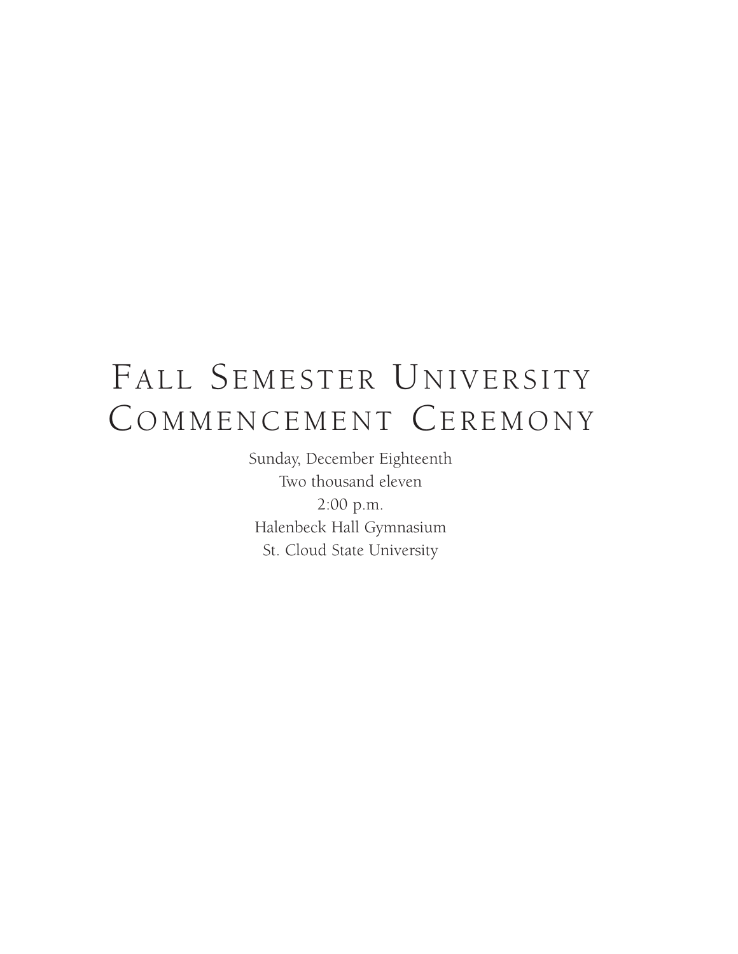# FALL SEMESTER UNIVERSITY COMMENCEMENT CEREMONY

Sunday, December Eighteenth Two thousand eleven 2:00 p.m. Halenbeck Hall Gymnasium St. Cloud State University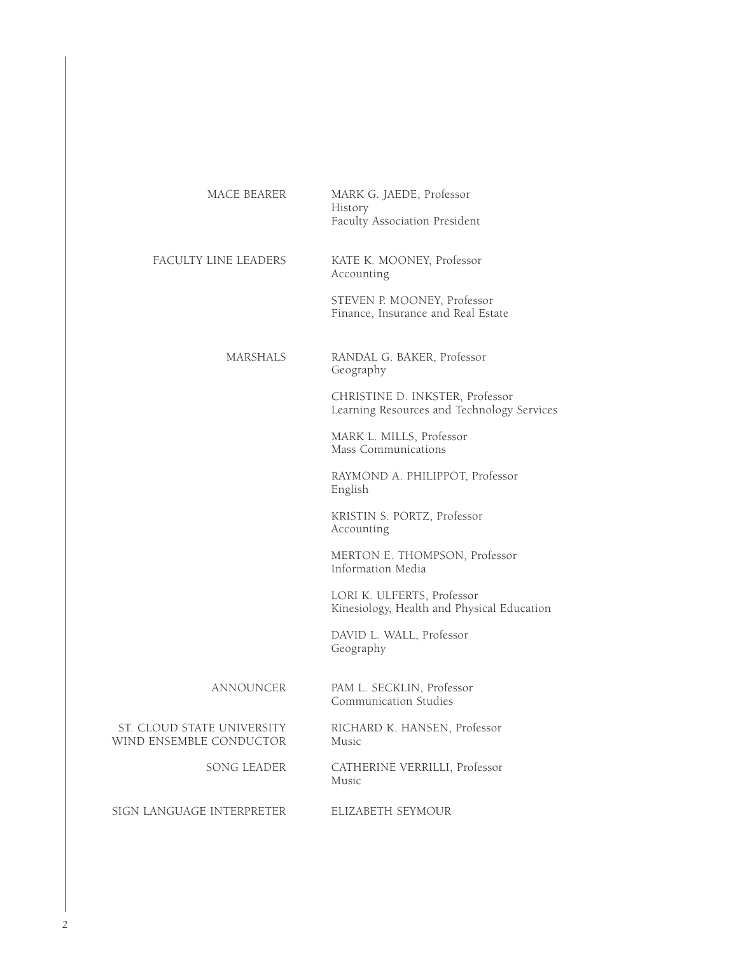| MACE BEARER                                           | MARK G. JAEDE, Professor<br>History<br>Faculty Association President          |
|-------------------------------------------------------|-------------------------------------------------------------------------------|
| FACULTY LINE LEADERS                                  | KATE K. MOONEY, Professor<br>Accounting                                       |
|                                                       | STEVEN P. MOONEY, Professor<br>Finance, Insurance and Real Estate             |
| MARSHALS                                              | RANDAL G. BAKER, Professor<br>Geography                                       |
|                                                       | CHRISTINE D. INKSTER, Professor<br>Learning Resources and Technology Services |
|                                                       | MARK L. MILLS, Professor<br>Mass Communications                               |
|                                                       | RAYMOND A. PHILIPPOT, Professor<br>English                                    |
|                                                       | KRISTIN S. PORTZ, Professor<br>Accounting                                     |
|                                                       | MERTON E. THOMPSON, Professor<br>Information Media                            |
|                                                       | LORI K. ULFERTS, Professor<br>Kinesiology, Health and Physical Education      |
|                                                       | DAVID L. WALL, Professor<br>Geography                                         |
| ANNOUNCER                                             | PAM L. SECKLIN, Professor<br>Communication Studies                            |
| ST. CLOUD STATE UNIVERSITY<br>WIND ENSEMBLE CONDUCTOR | RICHARD K. HANSEN, Professor<br>Music                                         |
| SONG LEADER                                           | CATHERINE VERRILLI, Professor<br>Music                                        |
| SIGN LANGUAGE INTERPRETER                             | ELIZABETH SEYMOUR                                                             |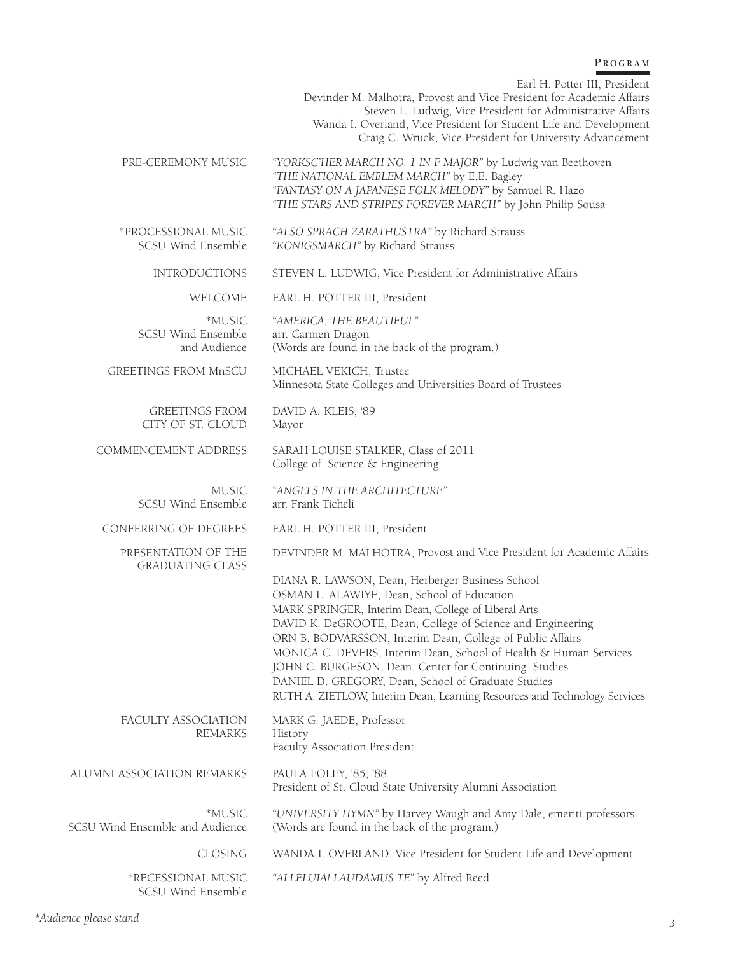#### **P r o g r a m**

Earl H. Potter III, President

Devinder M. Malhotra, Provost and Vice President for Academic Affairs Steven L. Ludwig, Vice President for Administrative Affairs Wanda I. Overland, Vice President for Student Life and Development Craig C. Wruck, Vice President for University Advancement Pre-Ceremony Music *"YORKSC'HER MARCH NO. 1 IN F MAJOR"* by Ludwig van Beethoven *"THE NATIONAL EMBLEM MARCH"* by E.E. Bagley *"FANTASY ON A JAPANESE FOLK MELODY"* by Samuel R. Hazo *"THE STARS AND STRIPES FOREVER MARCH"* by John Philip Sousa \*Processional Music *"ALSO SPRACH ZARATHUSTRA"* by Richard Strauss "KONIGSMARCH" by Richard Strauss INTRODUCTIONS STEVEN L. LUDWIG, Vice President for Administrative Affairs WELCOME EARL H. POTTER III, President \*MUSIC *"AMERICA, THE BEAUTIFUL"* SCSU Wind Ensemble arr. Carmen Dragon and Audience (Words are found in the back of the program.) GREETINGS FROM MnSCU MICHAEL VEKICH, Trustee Minnesota State Colleges and Universities Board of Trustees GREETINGS FROM DAVID A. KLEIS, '89 CITY OF ST. CLOUD Mayor COMMENCEMENT ADDRESS SARAH LOUISE STALKER, Class of 2011 College of Science & Engineering MUSIC *"ANGELS IN THE ARCHITECTURE"*  SCSU Wind Ensemble CONFERRING OF DEGREES EARL H. POTTER III, President PRESENTATION OF THE DEVINDER M. MALHOTRA, Provost and Vice President for Academic Affairs GRADUATING CLASS DIANA R. LAWSON, Dean, Herberger Business School OSMAN L. ALAWIYE, Dean, School of Education MARK SPRINGER, Interim Dean, College of Liberal Arts DAVID K. DeGROOTE, Dean, College of Science and Engineering ORN B. BODVARSSON, Interim Dean, College of Public Affairs MONICA C. DEVERS, Interim Dean, School of Health & Human Services JOHN C. BURGESON, Dean, Center for Continuing Studies DANIEL D. GREGORY, Dean, School of Graduate Studies RUTH A. ZIETLOW, Interim Dean, Learning Resources and Technology Services FACULTY ASSOCIATION MARK G. JAEDE, Professor REMARKS History Faculty Association President ALUMNI ASSOCIATION REMARKS PAULA FOLEY, '85, '88 President of St. Cloud State University Alumni Association \*MUSIC *"UNIVERSITY HYMN"* by Harvey Waugh and Amy Dale, emeriti professors SCSU Wind Ensemble and Audience (Words are found in the back of the program.) CLOSING WANDA I. OVERLAND, Vice President for Student Life and Development \*RECESSIONAL MUSIC *"ALLELUIA! LAUDAMUS TE"* by Alfred Reed

SCSU Wind Ensemble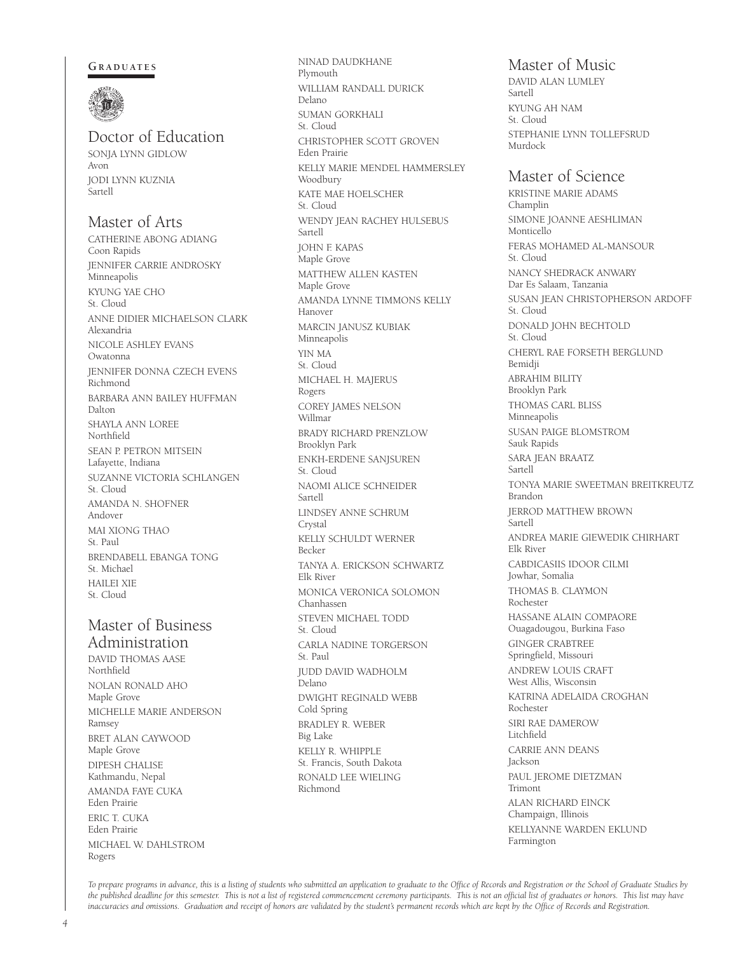#### GRADUATES



### Doctor of Education

SONJA LYNN GIDLOW Avon JODI LYNN KUZNIA Sartell

#### Master of Arts

CATHERINE ABONG ADIANG Coon Rapids JENNIFER CARRIE ANDROSKY **Minneapolis** KYUNG YAE CHO St. Cloud ANNE DIDIER MICHAELSON CLARK Alexandria NICOLE ASHLEY EVANS Owatonna JENNIFER DONNA CZECH EVENS Richmond BARBARA ANN BAILEY HUFFMAN Dalton SHAYLA ANN LOREE Northfield SEAN P. PETRON MITSEIN Lafayette, Indiana SUZANNE VICTORIA SCHLANGEN St. Cloud AMANDA N. SHOFNER Andover MAI XIONG THAO St. Paul BRENDABELL EBANGA TONG St. Michael HAILEI XIE St. Cloud

#### Master of Business Administration

DAVID THOMAS AASE Northfield NOLAN RONALD AHO Maple Grove MICHELLE MARIE ANDERSON Ramsey BRET ALAN CAYWOOD Maple Grove DIPESH CHALISE Kathmandu, Nepal AMANDA FAYE CUKA Eden Prairie ERIC T. CUKA Eden Prairie MICHAEL W. DAHLSTROM Rogers

NINAD DAUDKHANE Plymouth WILLIAM RANDALL DURICK Delano SUMAN GORKHALI St. Cloud CHRISTOPHER SCOTT GROVEN Eden Prairie KELLY MARIE MENDEL HAMMERSLEY Woodbury KATE MAE HOELSCHER St. Cloud WENDY JEAN RACHEY HULSEBUS Sartell JOHN F. KAPAS Maple Grove MATTHEW ALLEN KASTEN Maple Grove AMANDA LYNNE TIMMONS KELLY Hanover MARCIN JANUSZ KUBIAK Minneapolis YIN MA St. Cloud MICHAEL H. MAJERUS Rogers COREY JAMES NELSON Willmar BRADY RICHARD PRENZLOW Brooklyn Park ENKH-ERDENE SANJSUREN St. Cloud NAOMI ALICE SCHNEIDER Sartell LINDSEY ANNE SCHRUM Crystal KELLY SCHULDT WERNER Becker TANYA A. ERICKSON SCHWARTZ Elk River MONICA VERONICA SOLOMON Chanhassen STEVEN MICHAEL TODD St. Cloud CARLA NADINE TORGERSON St. Paul JUDD DAVID WADHOLM Delano DWIGHT REGINALD WEBB Cold Spring BRADLEY R. WEBER Big Lake KELLY R. WHIPPLE St. Francis, South Dakota RONALD LEE WIELING Richmond

#### Master of Music

DAVID ALAN LUMLEY Sartell KYUNG AH NAM St. Cloud STEPHANIE LYNN TOLLEFSRUD Murdock

#### Master of Science

KRISTINE MARIE ADAMS Champlin SIMONE JOANNE AESHLIMAN Monticello FERAS MOHAMED AL-MANSOUR St. Cloud NANCY SHEDRACK ANWARY Dar Es Salaam, Tanzania SUSAN JEAN CHRISTOPHERSON ARDOFF St. Cloud DONALD JOHN BECHTOLD St. Cloud CHERYL RAE FORSETH BERGLUND Bemidji ABRAHIM BILITY Brooklyn Park THOMAS CARL BLISS Minneapolis SUSAN PAIGE BLOMSTROM Sauk Rapids SARA JEAN BRAATZ Sartell TONYA MARIE SWEETMAN BREITKREUTZ Brandon JERROD MATTHEW BROWN Sartell ANDREA MARIE GIEWEDIK CHIRHART Elk River CABDICASIIS IDOOR CILMI Jowhar, Somalia THOMAS B. CLAYMON Rochester HASSANE ALAIN COMPAORE Ouagadougou, Burkina Faso GINGER CRABTREE Springfield, Missouri ANDREW LOUIS CRAFT West Allis, Wisconsin KATRINA ADELAIDA CROGHAN Rochester SIRI RAE DAMEROW Litchfield CARRIE ANN DEANS Jackson PAUL JEROME DIETZMAN Trimont ALAN RICHARD EINCK Champaign, Illinois KELLYANNE WARDEN EKLUND Farmington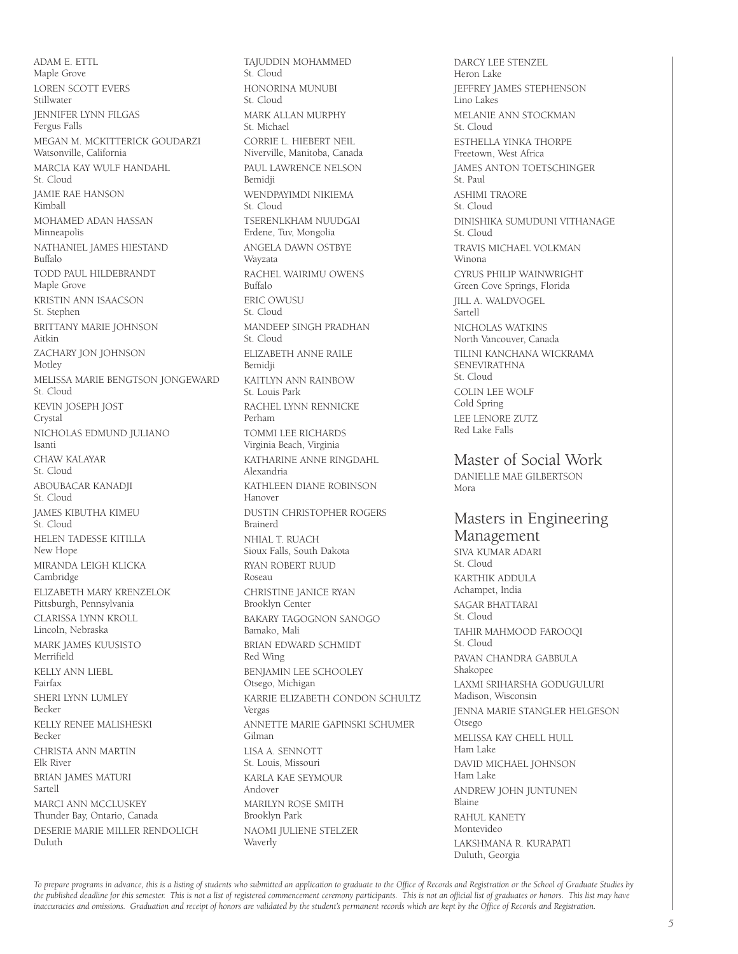ADAM E. ETTL Maple Grove LOREN SCOTT EVERS Stillwater JENNIFER LYNN FILGAS Fergus Falls MEGAN M. MCKITTERICK GOUDARZI Watsonville, California MARCIA KAY WULF HANDAHL St. Cloud JAMIE RAE HANSON Kimball MOHAMED ADAN HASSAN Minneapolis NATHANIEL JAMES HIESTAND Buffalo TODD PAUL HILDEBRANDT Maple Grove KRISTIN ANN ISAACSON St. Stephen BRITTANY MARIE JOHNSON Aitkin ZACHARY JON JOHNSON Motley MELISSA MARIE BENGTSON JONGEWARD St. Cloud KEVIN JOSEPH JOST Crystal NICHOLAS EDMUND JULIANO Isanti CHAW KALAYAR St. Cloud ABOUBACAR KANADJI St. Cloud JAMES KIBUTHA KIMEU St. Cloud HELEN TADESSE KITILLA New Hope MIRANDA LEIGH KLICKA Cambridge ELIZABETH MARY KRENZELOK Pittsburgh, Pennsylvania CLARISSA LYNN KROLL Lincoln, Nebraska MARK JAMES KUUSISTO Merrifield KELLY ANN LIEBL Fairfax SHERI LYNN LUMLEY Becker KELLY RENEE MALISHESKI Becker CHRISTA ANN MARTIN Elk River BRIAN JAMES MATURI Sartell MARCI ANN MCCLUSKEY Thunder Bay, Ontario, Canada DESERIE MARIE MILLER RENDOLICH Duluth

TAJUDDIN MOHAMMED St. Cloud HONORINA MUNUBI St. Cloud MARK ALLAN MURPHY St. Michael CORRIE L. HIEBERT NEIL Niverville, Manitoba, Canada PAUL LAWRENCE NELSON Bemidji WENDPAYIMDI NIKIEMA St. Cloud TSERENLKHAM NUUDGAI Erdene, Tuv, Mongolia ANGELA DAWN OSTBYE Wayzata RACHEL WAIRIMU OWENS Buffalo ERIC OWUSU St. Cloud MANDEEP SINGH PRADHAN St. Cloud ELIZABETH ANNE RAILE Bemidji KAITLYN ANN RAINBOW St. Louis Park RACHEL LYNN RENNICKE Perham TOMMI LEE RICHARDS Virginia Beach, Virginia KATHARINE ANNE RINGDAHL Alexandria KATHLEEN DIANE ROBINSON Hanover DUSTIN CHRISTOPHER ROGERS Brainerd NHIAL T. RUACH Sioux Falls, South Dakota RYAN ROBERT RUUD Roseau CHRISTINE JANICE RYAN Brooklyn Center BAKARY TAGOGNON SANOGO Bamako, Mali BRIAN EDWARD SCHMIDT Red Wing BENJAMIN LEE SCHOOLEY Otsego, Michigan KARRIE ELIZABETH CONDON SCHULTZ Vergas ANNETTE MARIE GAPINSKI SCHUMER Gilman LISA A. SENNOTT St. Louis, Missouri KARLA KAE SEYMOUR Andover MARILYN ROSE SMITH Brooklyn Park NAOMI JULIENE STELZER Waverly

DARCY LEE STENZEL Heron Lake JEFFREY JAMES STEPHENSON Lino Lakes MELANIE ANN STOCKMAN St. Cloud ESTHELLA YINKA THORPE Freetown, West Africa JAMES ANTON TOETSCHINGER St. Paul ASHIMI TRAORE St. Cloud DINISHIKA SUMUDUNI VITHANAGE St. Cloud TRAVIS MICHAEL VOLKMAN Winona CYRUS PHILIP WAINWRIGHT Green Cove Springs, Florida JILL A. WALDVOGEL Sartell NICHOLAS WATKINS North Vancouver, Canada TILINI KANCHANA WICKRAMA SENEVIRATHNA St. Cloud COLIN LEE WOLF Cold Spring LEE LENORE ZUTZ Red Lake Falls

Master of Social Work DANIELLE MAE GILBERTSON Mora

#### Masters in Engineering Management

SIVA KUMAR ADARI St. Cloud KARTHIK ADDULA Achampet, India SAGAR BHATTARAI St. Cloud TAHIR MAHMOOD FAROOQI St. Cloud PAVAN CHANDRA GABBULA Shakopee LAXMI SRIHARSHA GODUGULURI Madison, Wisconsin JENNA MARIE STANGLER HELGESON Otsego MELISSA KAY CHELL HULL Ham Lake DAVID MICHAEL JOHNSON Ham Lake ANDREW JOHN JUNTUNEN Blaine RAHUL KANETY Montevideo LAKSHMANA R. KURAPATI Duluth, Georgia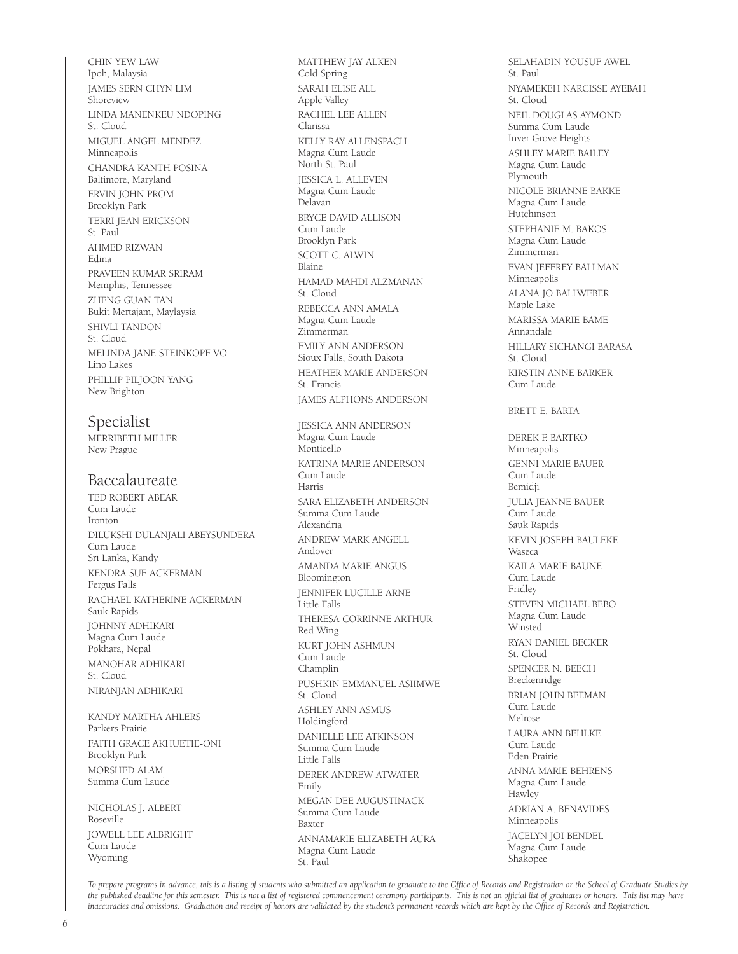CHIN YEW LAW Ipoh, Malaysia JAMES SERN CHYN LIM **Shoreview** LINDA MANENKEU NDOPING St. Cloud MIGUEL ANGEL MENDEZ Minneapolis CHANDRA KANTH POSINA Baltimore, Maryland ERVIN JOHN PROM Brooklyn Park TERRI JEAN ERICKSON St. Paul AHMED RIZWAN Edina PRAVEEN KUMAR SRIRAM Memphis, Tennessee ZHENG GUAN TAN Bukit Mertajam, Maylaysia SHIVLI TANDON St. Cloud MELINDA JANE STEINKOPF VO Lino Lakes PHILLIP PILJOON YANG New Brighton

#### Specialist

MERRIBETH MILLER New Prague

#### Baccalaureate

TED ROBERT ABEAR Cum Laude Ironton DILUKSHI DULANJALI ABEYSUNDERA Cum Laude Sri Lanka, Kandy KENDRA SUE ACKERMAN Fergus Falls RACHAEL KATHERINE ACKERMAN Sauk Rapids JOHNNY ADHIKARI Magna Cum Laude Pokhara, Nepal MANOHAR ADHIKARI St. Cloud NIRANJAN ADHIKARI

KANDY MARTHA AHLERS Parkers Prairie FAITH GRACE AKHUETIE-ONI Brooklyn Park MORSHED ALAM Summa Cum Laude

NICHOLAS J. ALBERT Roseville JOWELL LEE ALBRIGHT Cum Laude Wyoming

MATTHEW JAY ALKEN Cold Spring SARAH ELISE ALL Apple Valley RACHEL LEE ALLEN Clarissa KELLY RAY ALLENSPACH Magna Cum Laude North St. Paul JESSICA L. ALLEVEN Magna Cum Laude Delavan BRYCE DAVID ALLISON Cum Laude Brooklyn Park SCOTT C. ALWIN Blaine HAMAD MAHDI ALZMANAN St. Cloud REBECCA ANN AMALA Magna Cum Laude Zimmerman EMILY ANN ANDERSON Sioux Falls, South Dakota HEATHER MARIE ANDERSON St. Francis JAMES ALPHONS ANDERSON

JESSICA ANN ANDERSON Magna Cum Laude Monticello KATRINA MARIE ANDERSON Cum Laude Harris SARA ELIZABETH ANDERSON Summa Cum Laude Alexandria ANDREW MARK ANGELL Andover AMANDA MARIE ANGUS Bloomington JENNIFER LUCILLE ARNE Little Falls THERESA CORRINNE ARTHUR Red Wing KURT JOHN ASHMUN Cum Laude Champlin PUSHKIN EMMANUEL ASIIMWE St. Cloud ASHLEY ANN ASMUS Holdingford DANIELLE LEE ATKINSON Summa Cum Laude Little Falls DEREK ANDREW ATWATER Emily MEGAN DEE AUGUSTINACK Summa Cum Laude Baxter ANNAMARIE ELIZABETH AURA Magna Cum Laude St. Paul

SELAHADIN YOUSUF AWEL St. Paul NYAMEKEH NARCISSE AYEBAH St. Cloud NEIL DOUGLAS AYMOND Summa Cum Laude Inver Grove Heights ASHLEY MARIE BAILEY Magna Cum Laude Plymouth NICOLE BRIANNE BAKKE Magna Cum Laude Hutchinson STEPHANIE M. BAKOS Magna Cum Laude Zimmerman EVAN JEFFREY BALLMAN Minneapolis ALANA JO BALLWEBER Maple Lake MARISSA MARIE BAME Annandale HILLARY SICHANGI BARASA St. Cloud KIRSTIN ANNE BARKER Cum Laude BRETT E. BARTA DEREK F. BARTKO Minneapolis GENNI MARIE BAUER Cum Laude Bemidji JULIA JEANNE BAUER Cum Laude Sauk Rapids KEVIN JOSEPH BAULEKE **Waseca** KAILA MARIE BAUNE Cum Laude Fridley STEVEN MICHAEL BEBO Magna Cum Laude Winsted RYAN DANIEL BECKER St. Cloud SPENCER N. BEECH Breckenridge BRIAN JOHN BEEMAN Cum Laude Melrose

LAURA ANN BEHLKE Cum Laude Eden Prairie ANNA MARIE BEHRENS Magna Cum Laude Hawley ADRIAN A. BENAVIDES Minneapolis JACELYN JOI BENDEL Magna Cum Laude

Shakopee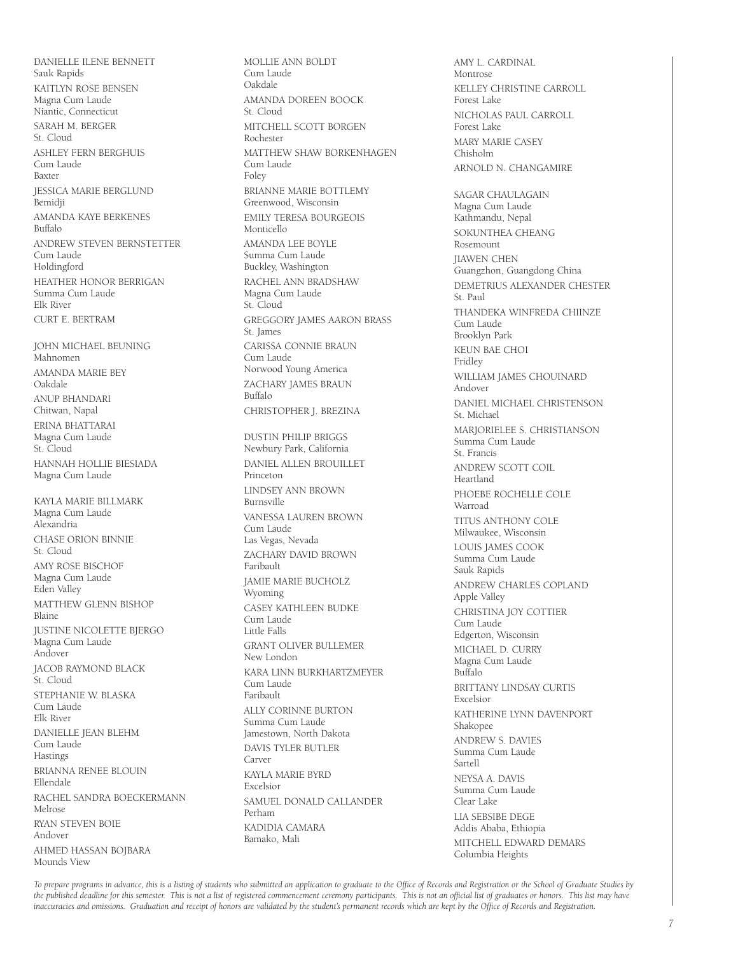DANIELLE ILENE BENNETT Sauk Rapids KAITLYN ROSE BENSEN Magna Cum Laude Niantic, Connecticut SARAH M. BERGER St. Cloud ASHLEY FERN BERGHUIS Cum Laude Baxter JESSICA MARIE BERGLUND Bemidji AMANDA KAYE BERKENES Buffalo ANDREW STEVEN BERNSTETTER Cum Laude Holdingford HEATHER HONOR BERRIGAN Summa Cum Laude Elk River CURT E. BERTRAM JOHN MICHAEL BEUNING Mahnomen AMANDA MARIE BEY Oakdale ANUP BHANDARI Chitwan, Napal ERINA BHATTARAI Magna Cum Laude St. Cloud HANNAH HOLLIE BIESIADA Magna Cum Laude KAYLA MARIE BILLMARK Magna Cum Laude Alexandria CHASE ORION BINNIE St. Cloud AMY ROSE BISCHOF Magna Cum Laude Eden Valley MATTHEW GLENN BISHOP Blaine JUSTINE NICOLETTE BJERGO Magna Cum Laude Andover JACOB RAYMOND BLACK St. Cloud STEPHANIE W. BLASKA Cum Laude Elk River DANIELLE JEAN BLEHM Cum Laude Hastings BRIANNA RENEE BLOUIN Ellendale RACHEL SANDRA BOECKERMANN Melrose RYAN STEVEN BOIE Andover AHMED HASSAN BOJBARA

Mounds View

MOLLIE ANN BOLDT Cum Laude Oakdale AMANDA DOREEN BOOCK St. Cloud MITCHELL SCOTT BORGEN Rochester MATTHEW SHAW BORKENHAGEN Cum Laude Foley BRIANNE MARIE BOTTLEMY Greenwood, Wisconsin EMILY TERESA BOURGEOIS Monticello AMANDA LEE BOYLE Summa Cum Laude Buckley, Washington RACHEL ANN BRADSHAW Magna Cum Laude St. Cloud GREGGORY JAMES AARON BRASS St. James CARISSA CONNIE BRAUN Cum Laude Norwood Young America ZACHARY JAMES BRAUN Buffalo CHRISTOPHER J. BREZINA DUSTIN PHILIP BRIGGS Newbury Park, California DANIEL ALLEN BROUILLET Princeton LINDSEY ANN BROWN Burnsville VANESSA LAUREN BROWN Cum Laude Las Vegas, Nevada ZACHARY DAVID BROWN Faribault JAMIE MARIE BUCHOLZ Wyoming CASEY KATHLEEN BUDKE Cum Laude Little Falls GRANT OLIVER BULLEMER New London KARA LINN BURKHARTZMEYER Cum Laude Faribault ALLY CORINNE BURTON Summa Cum Laude Jamestown, North Dakota DAVIS TYLER BUTLER Carver KAYLA MARIE BYRD Excelsior SAMUEL DONALD CALLANDER Perham KADIDIA CAMARA Bamako, Mali

AMY L. CARDINAL Montrose KELLEY CHRISTINE CARROLL Forest Lake NICHOLAS PAUL CARROLL Forest Lake MARY MARIE CASEY Chisholm ARNOLD N. CHANGAMIRE SAGAR CHAULAGAIN Magna Cum Laude Kathmandu, Nepal SOKUNTHEA CHEANG Rosemount JIAWEN CHEN Guangzhon, Guangdong China DEMETRIUS ALEXANDER CHESTER St. Paul THANDEKA WINFREDA CHIINZE Cum Laude Brooklyn Park KEUN BAE CHOI Fridley WILLIAM JAMES CHOUINARD Andover DANIEL MICHAEL CHRISTENSON St. Michael MARJORIELEE S. CHRISTIANSON Summa Cum Laude St. Francis ANDREW SCOTT COIL Heartland PHOEBE ROCHELLE COLE Warroad TITUS ANTHONY COLE Milwaukee, Wisconsin LOUIS JAMES COOK Summa Cum Laude Sauk Rapids ANDREW CHARLES COPLAND Apple Valley CHRISTINA JOY COTTIER Cum Laude Edgerton, Wisconsin MICHAEL D. CURRY Magna Cum Laude Buffalo BRITTANY LINDSAY CURTIS Excelsior KATHERINE LYNN DAVENPORT Shakopee ANDREW S. DAVIES Summa Cum Laude Sartell NEYSA A. DAVIS Summa Cum Laude Clear Lake LIA SEBSIBE DEGE Addis Ababa, Ethiopia MITCHELL EDWARD DEMARS Columbia Heights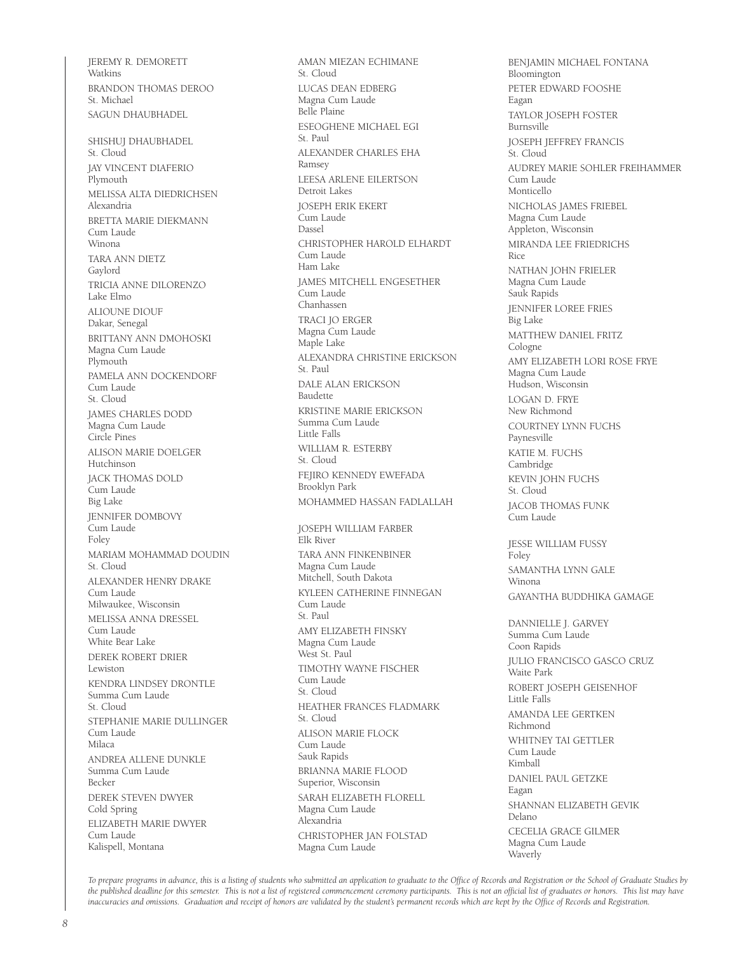JEREMY R. DEMORETT Watkins BRANDON THOMAS DEROO St. Michael SAGUN DHAUBHADEL SHISHUJ DHAUBHADEL St. Cloud JAY VINCENT DIAFERIO **Plymouth** MELISSA ALTA DIEDRICHSEN Alexandria BRETTA MARIE DIEKMANN Cum Laude Winona TARA ANN DIETZ Gaylord TRICIA ANNE DILORENZO Lake Elmo ALIOUNE DIOUF Dakar, Senegal BRITTANY ANN DMOHOSKI Magna Cum Laude Plymouth PAMELA ANN DOCKENDORF Cum Laude St. Cloud JAMES CHARLES DODD Magna Cum Laude Circle Pines ALISON MARIE DOELGER Hutchinson JACK THOMAS DOLD **Cum Laude** Big Lake JENNIFER DOMBOVY Cum Laude Foley MARIAM MOHAMMAD DOUDIN St. Cloud ALEXANDER HENRY DRAKE Cum Laude Milwaukee, Wisconsin MELISSA ANNA DRESSEL Cum Laude White Bear Lake DEREK ROBERT DRIER Lewiston KENDRA LINDSEY DRONTLE Summa Cum Laude St. Cloud STEPHANIE MARIE DULLINGER Cum Laude Milaca ANDREA ALLENE DUNKLE Summa Cum Laude Becker DEREK STEVEN DWYER Cold Spring ELIZABETH MARIE DWYER Cum Laude Kalispell, Montana

AMAN MIEZAN ECHIMANE St. Cloud LUCAS DEAN EDBERG Magna Cum Laude Belle Plaine ESEOGHENE MICHAEL EGI St. Paul ALEXANDER CHARLES EHA Ramsey LEESA ARLENE EILERTSON Detroit Lakes JOSEPH ERIK EKERT .<br>Cum Laude Dassel CHRISTOPHER HAROLD ELHARDT Cum Laude Ham Lake JAMES MITCHELL ENGESETHER .<br>Cum Laude Chanhassen TRACI JO ERGER Magna Cum Laude Maple Lake ALEXANDRA CHRISTINE ERICKSON St. Paul DALE ALAN ERICKSON Baudette KRISTINE MARIE ERICKSON Summa Cum Laude Little Falls WILLIAM R. ESTERBY St. Cloud FEJIRO KENNEDY EWEFADA Brooklyn Park MOHAMMED HASSAN FADLALLAH JOSEPH WILLIAM FARBER Elk River TARA ANN FINKENBINER Magna Cum Laude Mitchell, South Dakota KYLEEN CATHERINE FINNEGAN Cum Laude St. Paul AMY ELIZABETH FINSKY Magna Cum Laude West St. Paul TIMOTHY WAYNE FISCHER Cum Laude St. Cloud HEATHER FRANCES FLADMARK St. Cloud ALISON MARIE FLOCK Cum Laude Sauk Rapids BRIANNA MARIE FLOOD Superior, Wisconsin SARAH ELIZABETH FLORELL Magna Cum Laude Alexandria CHRISTOPHER JAN FOLSTAD Magna Cum Laude

BENJAMIN MICHAEL FONTANA Bloomington PETER EDWARD FOOSHE Eagan TAYLOR JOSEPH FOSTER Burnsville JOSEPH JEFFREY FRANCIS St. Cloud AUDREY MARIE SOHLER FREIHAMMER Cum Laude Monticello NICHOLAS JAMES FRIEBEL Magna Cum Laude Appleton, Wisconsin MIRANDA LEE FRIEDRICHS Rice NATHAN JOHN FRIELER Magna Cum Laude Sauk Rapids JENNIFER LOREE FRIES Big Lake MATTHEW DANIEL FRITZ Cologne AMY ELIZABETH LORI ROSE FRYE Magna Cum Laude Hudson, Wisconsin LOGAN D. FRYE New Richmond COURTNEY LYNN FUCHS Paynesville KATIE M. FUCHS Cambridge KEVIN JOHN FUCHS St. Cloud JACOB THOMAS FUNK **Cum Laude** JESSE WILLIAM FUSSY **Foley** SAMANTHA LYNN GALE Winona GAYANTHA BUDDHIKA GAMAGE DANNIELLE J. GARVEY Summa Cum Laude Coon Rapids JULIO FRANCISCO GASCO CRUZ Waite Park ROBERT JOSEPH GEISENHOF Little Falls AMANDA LEE GERTKEN Richmond WHITNEY TAI GETTLER Cum Laude Kimball DANIEL PAUL GETZKE Eagan SHANNAN ELIZABETH GEVIK Delano CECELIA GRACE GILMER Magna Cum Laude Waverly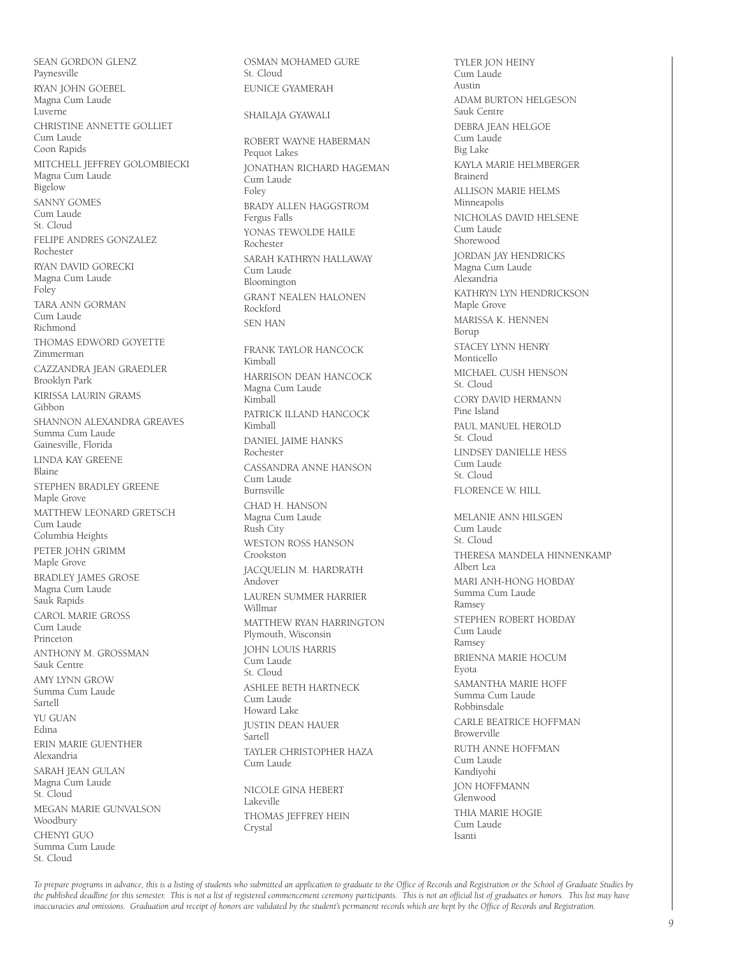SEAN GORDON GLENZ Paynesville RYAN JOHN GOEBEL Magna Cum Laude Luverne CHRISTINE ANNETTE GOLLIET Cum Laude Coon Rapids MITCHELL JEFFREY GOLOMBIECKI Magna Cum Laude Bigelow SANNY GOMES Cum Laude St. Cloud FELIPE ANDRES GONZALEZ Rochester RYAN DAVID GORECKI Magna Cum Laude Foley TARA ANN GORMAN Cum Laude Richmond THOMAS EDWORD GOYETTE Zimmerman CAZZANDRA JEAN GRAEDLER Brooklyn Park KIRISSA LAURIN GRAMS Gibbon SHANNON ALEXANDRA GREAVES Summa Cum Laude Gainesville, Florida LINDA KAY GREENE Blaine STEPHEN BRADLEY GREENE Maple Grove MATTHEW LEONARD GRETSCH Cum Laude Columbia Heights PETER JOHN GRIMM Maple Grove BRADLEY JAMES GROSE Magna Cum Laude Sauk Rapids CAROL MARIE GROSS Cum Laude Princeton ANTHONY M. GROSSMAN Sauk Centre AMY LYNN GROW Summa Cum Laude Sartell YU GUAN Edina ERIN MARIE GUENTHER Alexandria SARAH JEAN GULAN Magna Cum Laude St. Cloud MEGAN MARIE GUNVALSON Woodbury CHENYI GUO Summa Cum Laude St. Cloud

OSMAN MOHAMED GURE St. Cloud EUNICE GYAMERAH SHAILAJA GYAWALI ROBERT WAYNE HABERMAN Pequot Lakes JONATHAN RICHARD HAGEMAN Cum Laude Foley BRADY ALLEN HAGGSTROM Fergus Falls YONAS TEWOLDE HAILE Rochester SARAH KATHRYN HALLAWAY Cum Laude Bloomington GRANT NEALEN HALONEN Rockford SEN HAN FRANK TAYLOR HANCOCK Kimball HARRISON DEAN HANCOCK Magna Cum Laude Kimball PATRICK ILLAND HANCOCK Kimball DANIEL JAIME HANKS Rochester CASSANDRA ANNE HANSON Cum Laude Burnsville CHAD H. HANSON Magna Cum Laude Rush City WESTON ROSS HANSON Crookston JACQUELIN M. HARDRATH Andover LAUREN SUMMER HARRIER Willmar MATTHEW RYAN HARRINGTON Plymouth, Wisconsin JOHN LOUIS HARRIS Cum Laude St. Cloud ASHLEE BETH HARTNECK Cum Laude Howard Lake JUSTIN DEAN HAUER Sartell TAYLER CHRISTOPHER HAZA Cum Laude NICOLE GINA HEBERT Lakeville THOMAS JEFFREY HEIN Crystal

TYLER JON HEINY Cum Laude Austin ADAM BURTON HELGESON Sauk Centre DEBRA JEAN HELGOE Cum Laude Big Lake KAYLA MARIE HELMBERGER Brainerd ALLISON MARIE HELMS Minneapolis NICHOLAS DAVID HELSENE Cum Laude Shorewood JORDAN JAY HENDRICKS Magna Cum Laude Alexandria KATHRYN LYN HENDRICKSON Maple Grove MARISSA K. HENNEN Borup STACEY LYNN HENRY Monticello MICHAEL CUSH HENSON St. Cloud CORY DAVID HERMANN Pine Island PAUL MANUEL HEROLD St. Cloud LINDSEY DANIELLE HESS Cum Laude St. Cloud FLORENCE W. HILL MELANIE ANN HILSGEN Cum Laude St. Cloud THERESA MANDELA HINNENKAMP Albert Lea MARI ANH-HONG HOBDAY Summa Cum Laude Ramsey STEPHEN ROBERT HOBDAY Cum Laude Ramsey BRIENNA MARIE HOCUM Eyota SAMANTHA MARIE HOFF Summa Cum Laude Robbinsdale CARLE BEATRICE HOFFMAN Browerville RUTH ANNE HOFFMAN Cum Laude Kandiyohi JON HOFFMANN Glenwood THIA MARIE HOGIE Cum Laude Isanti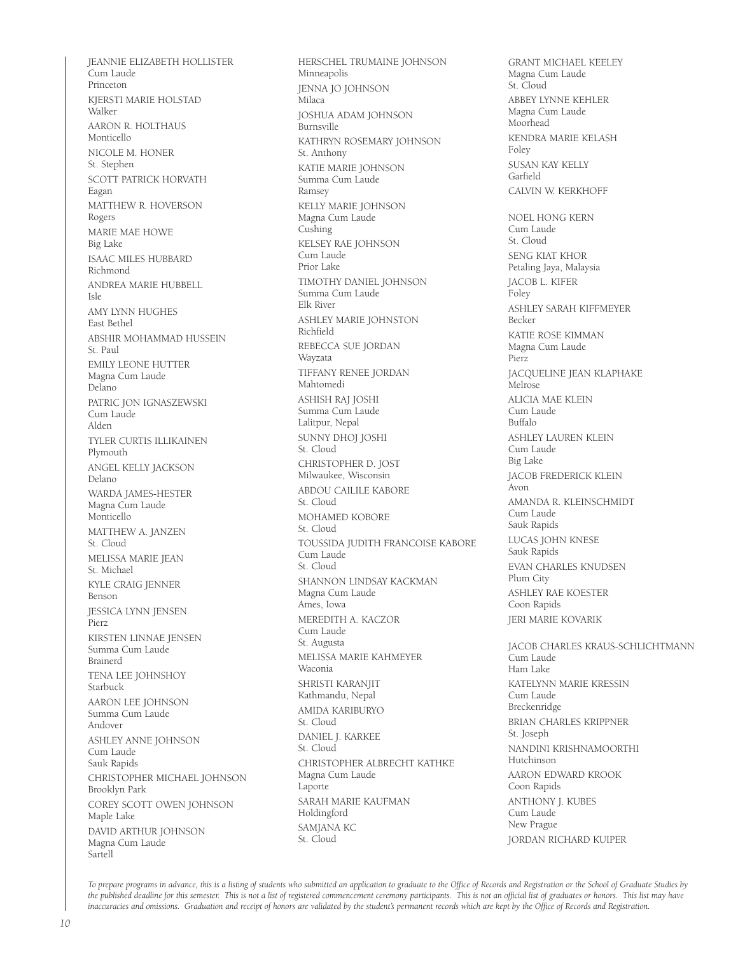JEANNIE ELIZABETH HOLLISTER Cum Laude Princeton KJERSTI MARIE HOLSTAD Walker AARON R. HOLTHAUS Monticello NICOLE M. HONER St. Stephen SCOTT PATRICK HORVATH Eagan MATTHEW R. HOVERSON Rogers MARIE MAE HOWE Big Lake ISAAC MILES HUBBARD Richmond ANDREA MARIE HUBBELL Isle AMY LYNN HUGHES East Bethel ABSHIR MOHAMMAD HUSSEIN St. Paul EMILY LEONE HUTTER Magna Cum Laude Delano PATRIC JON IGNASZEWSKI Cum Laude Alden TYLER CURTIS ILLIKAINEN Plymouth ANGEL KELLY JACKSON Delano WARDA JAMES-HESTER Magna Cum Laude Monticello MATTHEW A. JANZEN St. Cloud MELISSA MARIE JEAN St. Michael KYLE CRAIG JENNER Benson JESSICA LYNN JENSEN Pierz KIRSTEN LINNAE JENSEN Summa Cum Laude Brainerd TENA LEE JOHNSHOY Starbuck AARON LEE JOHNSON Summa Cum Laude Andover ASHLEY ANNE JOHNSON Cum Laude Sauk Rapids CHRISTOPHER MICHAEL JOHNSON Brooklyn Park COREY SCOTT OWEN JOHNSON Maple Lake DAVID ARTHUR JOHNSON Magna Cum Laude Sartell

HERSCHEL TRUMAINE JOHNSON Minneapolis JENNA JO JOHNSON Milaca JOSHUA ADAM JOHNSON Burnsville KATHRYN ROSEMARY JOHNSON St. Anthony KATIE MARIE JOHNSON Summa Cum Laude Ramsey KELLY MARIE JOHNSON Magna Cum Laude Cushing KELSEY RAE JOHNSON Cum Laude Prior Lake TIMOTHY DANIEL JOHNSON Summa Cum Laude Elk River ASHLEY MARIE JOHNSTON Richfield REBECCA SUE JORDAN Wayzata TIFFANY RENEE JORDAN Mahtomedi ASHISH RAJ JOSHI Summa Cum Laude Lalitpur, Nepal SUNNY DHOJ JOSHI St. Cloud CHRISTOPHER D. JOST Milwaukee, Wisconsin ABDOU CAILILE KABORE St. Cloud MOHAMED KOBORE St. Cloud TOUSSIDA JUDITH FRANCOISE KABORE Cum Laude St. Cloud SHANNON LINDSAY KACKMAN Magna Cum Laude Ames, Iowa MEREDITH A. KACZOR Cum Laude St. Augusta MELISSA MARIE KAHMEYER Waconia SHRISTI KARANJIT Kathmandu, Nepal AMIDA KARIBURYO St. Cloud DANIEL J. KARKEE St. Cloud CHRISTOPHER ALBRECHT KATHKE Magna Cum Laude Laporte SARAH MARIE KAUFMAN Holdingford SAMJANA KC St. Cloud

GRANT MICHAEL KEELEY Magna Cum Laude St. Cloud ABBEY LYNNE KEHLER Magna Cum Laude Moorhead KENDRA MARIE KELASH Foley SUSAN KAY KELLY Garfield CALVIN W. KERKHOFF NOEL HONG KERN Cum Laude St. Cloud SENG KIAT KHOR Petaling Jaya, Malaysia JACOB L. KIFER Foley ASHLEY SARAH KIFFMEYER Becker KATIE ROSE KIMMAN Magna Cum Laude Pierz JACQUELINE JEAN KLAPHAKE Melrose ALICIA MAE KLEIN Cum Laude Buffalo ASHI FY LAUREN KLEIN Cum Laude Big Lake JACOB FREDERICK KLEIN Avon AMANDA R. KLEINSCHMIDT Cum Laude Sauk Rapids LUCAS JOHN KNESE Sauk Rapids EVAN CHARLES KNUDSEN Plum City ASHLEY RAE KOESTER Coon Rapids JERI MARIE KOVARIK JACOB CHARLES KRAUS-SCHLICHTMANN Cum Laude Ham Lake KATELYNN MARIE KRESSIN Cum Laude Breckenridge BRIAN CHARLES KRIPPNER St. Joseph NANDINI KRISHNAMOORTHI Hutchinson AARON EDWARD KROOK Coon Rapids ANTHONY J. KUBES Cum Laude New Prague

JORDAN RICHARD KUIPER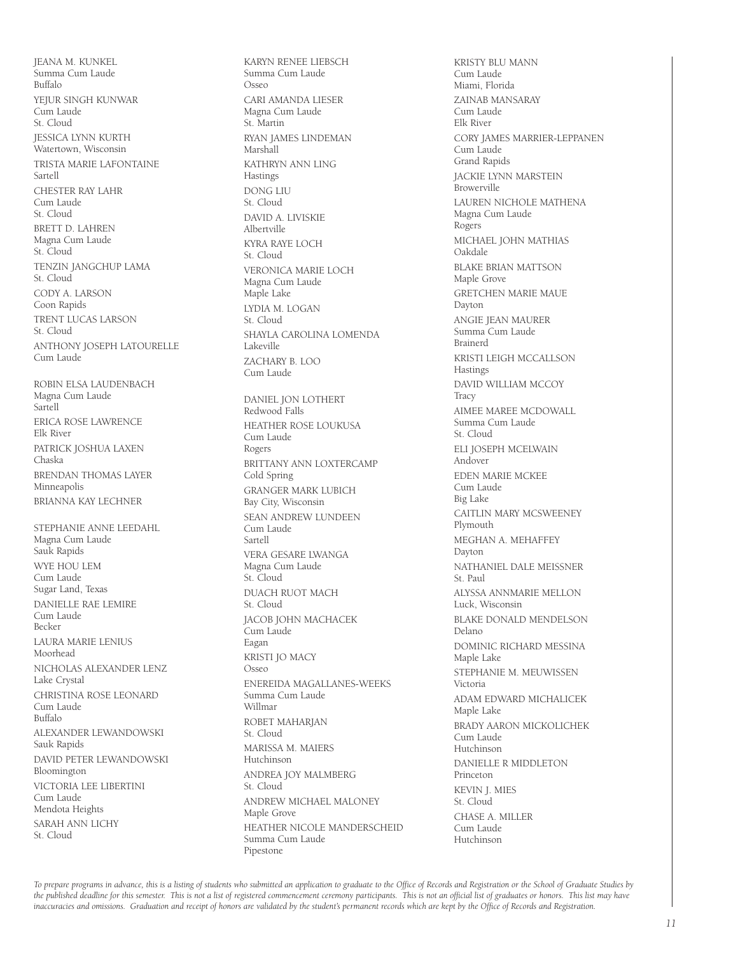Summa Cum Laude Buffalo YEJUR SINGH KUNWAR Cum Laude St. Cloud JESSICA LYNN KURTH Watertown, Wisconsin TRISTA MARIE LAFONTAINE Sartell CHESTER RAY LAHR Cum Laude St. Cloud BRETT D. LAHREN Magna Cum Laude St. Cloud TENZIN JANGCHUP LAMA St. Cloud CODY A. LARSON Coon Rapids TRENT LUCAS LARSON St. Cloud ANTHONY JOSEPH LATOURELLE Cum Laude ROBIN ELSA LAUDENBACH Magna Cum Laude Sartell ERICA ROSE LAWRENCE Elk River PATRICK JOSHUA LAXEN Chaska BRENDAN THOMAS LAYER Minneapolis BRIANNA KAY LECHNER STEPHANIE ANNE LEEDAHL Magna Cum Laude Sauk Rapids WYE HOU LEM Cum Laude Sugar Land, Texas DANIELLE RAE LEMIRE Cum Laude Becker LAURA MARIE LENIUS Moorhead NICHOLAS ALEXANDER LENZ Lake Crystal CHRISTINA ROSE LEONARD Cum Laude  $B<sub>u</sub>$ ffalo ALEXANDER LEWANDOWSKI Sauk Rapids DAVID PETER LEWANDOWSKI Bloomington VICTORIA LEE LIBERTINI Cum Laude Mendota Heights SARAH ANN LICHY St. Cloud

JEANA M. KUNKEL

KARYN RENEE LIEBSCH Summa Cum Laude Osseo CARI AMANDA LIESER Magna Cum Laude St. Martin RYAN JAMES LINDEMAN Marshall KATHRYN ANN LING **Hastings** DONG LIU St. Cloud DAVID A. LIVISKIE Albertville KYRA RAYE LOCH St. Cloud VERONICA MARIE LOCH Magna Cum Laude Maple Lake LYDIA M. LOGAN St. Cloud SHAYLA CAROLINA LOMENDA Lakeville ZACHARY B. LOO Cum Laude DANIEL JON LOTHERT Redwood Falls HEATHER ROSE LOUKUSA Cum Laude Rogers BRITTANY ANN LOXTERCAMP Cold Spring GRANGER MARK LUBICH Bay City, Wisconsin SEAN ANDREW LUNDEEN Cum Laude Sartell VERA GESARE LWANGA Magna Cum Laude St. Cloud DUACH RUOT MACH St. Cloud JACOB JOHN MACHACEK Cum Laude Eagan KRISTI JO MACY Osseo ENEREIDA MAGALLANES-WEEKS Summa Cum Laude Willmar ROBET MAHARJAN St. Cloud MARISSA M. MAIERS Hutchinson ANDREA JOY MALMBERG St. Cloud ANDREW MICHAEL MALONEY Maple Grove HEATHER NICOLE MANDERSCHEID Summa Cum Laude Pipestone

KRISTY BLU MANN Cum Laude Miami, Florida ZAINAB MANSARAY Cum Laude Elk River CORY JAMES MARRIER-LEPPANEN Cum Laude Grand Rapids JACKIE LYNN MARSTEIN Browerville LAUREN NICHOLE MATHENA Magna Cum Laude Rogers MICHAEL JOHN MATHIAS Oakdale BLAKE BRIAN MATTSON Maple Grove GRETCHEN MARIE MAUE Dayton ANGIE JEAN MAURER Summa Cum Laude Brainerd KRISTI LEIGH MCCALLSON Hastings DAVID WILLIAM MCCOY **Tracy** AIMEE MAREE MCDOWALL Summa Cum Laude St. Cloud ELI JOSEPH MCELWAIN Andover EDEN MARIE MCKEE Cum Laude Big Lake CAITLIN MARY MCSWEENEY Plymouth MEGHAN A. MEHAFFEY Dayton NATHANIEL DALE MEISSNER St. Paul ALYSSA ANNMARIE MELLON Luck, Wisconsin BLAKE DONALD MENDELSON Delano DOMINIC RICHARD MESSINA Maple Lake STEPHANIE M. MEUWISSEN Victoria ADAM EDWARD MICHALICEK Maple Lake BRADY AARON MICKOLICHEK Cum Laude Hutchinson DANIELLE R MIDDLETON Princeton KEVIN J. MIES St. Cloud CHASE A. MILLER Cum Laude Hutchinson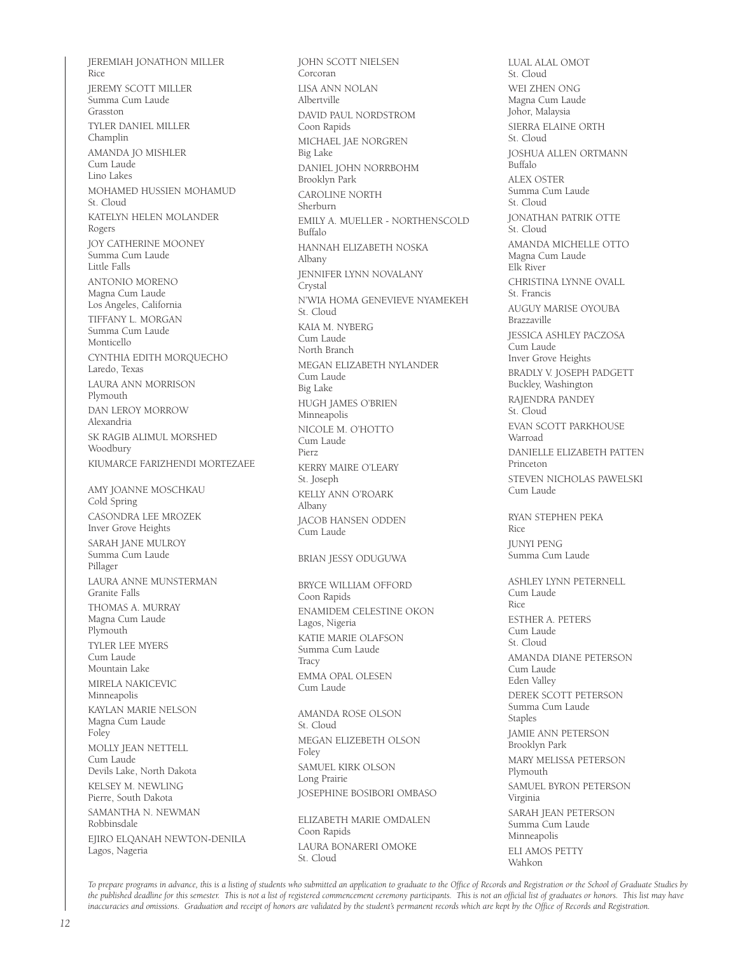JEREMIAH JONATHON MILLER Rice JEREMY SCOTT MILLER Summa Cum Laude Grasston TYLER DANIEL MILLER Champlin AMANDA JO MISHLER Cum Laude Lino Lakes MOHAMED HUSSIEN MOHAMUD St. Cloud KATELYN HELEN MOLANDER Rogers JOY CATHERINE MOONEY Summa Cum Laude Little Falls ANTONIO MORENO Magna Cum Laude Los Angeles, California TIFFANY L. MORGAN Summa Cum Laude Monticello CYNTHIA EDITH MORQUECHO Laredo, Texas LAURA ANN MORRISON Plymouth DAN LEROY MORROW Alexandria SK RAGIB ALIMUL MORSHED Woodbury KIUMARCE FARIZHENDI MORTEZAEE AMY JOANNE MOSCHKAU Cold Spring CASONDRA LEE MROZEK Inver Grove Heights SARAH JANE MULROY Summa Cum Laude Pillager LAURA ANNE MUNSTERMAN Granite Falls THOMAS A. MURRAY Magna Cum Laude Plymouth TYLER LEE MYERS Cum Laude Mountain Lake MIRELA NAKICEVIC Minneapolis KAYLAN MARIE NELSON Magna Cum Laude Foley MOLLY JEAN NETTELL Cum Laude Devils Lake, North Dakota KELSEY M. NEWLING Pierre, South Dakota SAMANTHA N. NEWMAN Robbinsdale EJIRO ELQANAH NEWTON-DENILA Lagos, Nageria

JOHN SCOTT NIELSEN Corcoran LISA ANN NOLAN Albertville DAVID PAUL NORDSTROM Coon Rapids MICHAEL JAE NORGREN Big Lake DANIEL JOHN NORRBOHM Brooklyn Park CAROLINE NORTH Sherburn EMILY A. MUELLER - NORTHENSCOLD Buffalo HANNAH ELIZABETH NOSKA Albany JENNIFER LYNN NOVALANY Crystal N'WIA HOMA GENEVIEVE NYAMEKEH St. Cloud KAIA M. NYBERG Cum Laude North Branch MEGAN ELIZABETH NYLANDER Cum Laude Big Lake HUGH JAMES O'BRIEN Minneapolis NICOLE M. O'HOTTO Cum Laude Pierz KERRY MAIRE O'LEARY St. Joseph KELLY ANN O'ROARK Albany JACOB HANSEN ODDEN Cum Laude BRIAN JESSY ODUGUWA BRYCE WILLIAM OFFORD Coon Rapids ENAMIDEM CELESTINE OKON Lagos, Nigeria KATIE MARIE OLAFSON Summa Cum Laude **Tracy** EMMA OPAL OLESEN Cum Laude AMANDA ROSE OLSON St. Cloud MEGAN ELIZEBETH OLSON Foley SAMUEL KIRK OLSON Long Prairie JOSEPHINE BOSIBORI OMBASO ELIZABETH MARIE OMDALEN Coon Rapids LAURA BONARERI OMOKE St. Cloud

LUAL ALAL OMOT St. Cloud WEI ZHEN ONG Magna Cum Laude Johor, Malaysia SIERRA ELAINE ORTH St. Cloud JOSHUA ALLEN ORTMANN Buffalo ALEX OSTER Summa Cum Laude St. Cloud JONATHAN PATRIK OTTE St. Cloud AMANDA MICHELLE OTTO Magna Cum Laude Elk River CHRISTINA LYNNE OVALL St. Francis AUGUY MARISE OYOUBA Brazzaville JESSICA ASHLEY PACZOSA Cum Laude Inver Grove Heights BRADLY V. JOSEPH PADGETT Buckley, Washington RAJENDRA PANDEY St. Cloud EVAN SCOTT PARKHOUSE Warroad DANIELLE ELIZABETH PATTEN Princeton STEVEN NICHOLAS PAWELSKI Cum Laude RYAN STEPHEN PEKA Rice JUNYI PENG Summa Cum Laude ASHLEY LYNN PETERNELL Cum Laude Rice ESTHER A. PETERS Cum Laude St. Cloud AMANDA DIANE PETERSON Cum Laude Eden Valley DEREK SCOTT PETERSON Summa Cum Laude Staples JAMIE ANN PETERSON Brooklyn Park MARY MELISSA PETERSON Plymouth SAMUEL BYRON PETERSON Virginia SARAH JEAN PETERSON Summa Cum Laude Minneapolis ELI AMOS PETTY

Wahkon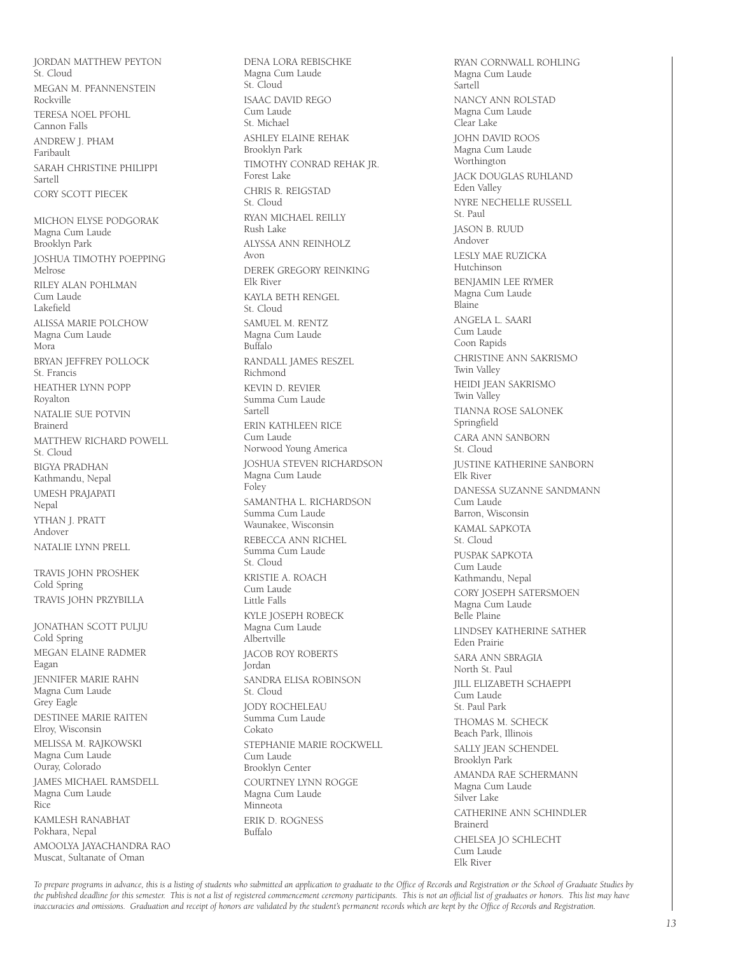JORDAN MATTHEW PEYTON St. Cloud MEGAN M. PFANNENSTEIN Rockville TERESA NOEL PFOHL Cannon Falls ANDREW J. PHAM Faribault SARAH CHRISTINE PHILIPPI Sartell CORY SCOTT PIECEK

MICHON ELYSE PODGORAK Magna Cum Laude Brooklyn Park JOSHUA TIMOTHY POEPPING Melrose RILEY ALAN POHLMAN Cum Laude Lakefield ALISSA MARIE POLCHOW Magna Cum Laude Mora BRYAN JEFFREY POLLOCK St. Francis HEATHER LYNN POPP Royalton NATALIE SUE POTVIN Brainerd MATTHEW RICHARD POWELL St. Cloud BIGYA PRADHAN Kathmandu, Nepal UMESH PRAJAPATI Nepal YTHAN J. PRATT Andover NATALIE LYNN PRELL

TRAVIS JOHN PROSHEK Cold Spring TRAVIS JOHN PRZYBILLA

JONATHAN SCOTT PULJU Cold Spring MEGAN ELAINE RADMER Eagan JENNIFER MARIE RAHN Magna Cum Laude Grey Eagle DESTINEE MARIE RAITEN Elroy, Wisconsin MELISSA M. RAJKOWSKI

Magna Cum Laude Ouray, Colorado JAMES MICHAEL RAMSDELL

Magna Cum Laude Rice KAMLESH RANABHAT

Pokhara, Nepal AMOOLYA JAYACHANDRA RAO Muscat, Sultanate of Oman

Magna Cum Laude St. Cloud ISAAC DAVID REGO Cum Laude St. Michael ASHLEY ELAINE REHAK Brooklyn Park TIMOTHY CONRAD REHAK JR. Forest Lake CHRIS R. REIGSTAD St. Cloud RYAN MICHAEL REILLY Rush Lake ALYSSA ANN REINHOLZ Avon DEREK GREGORY REINKING Elk River KAYLA BETH RENGEL St. Cloud SAMUEL M. RENTZ Magna Cum Laude Buffalo RANDALL JAMES RESZEL Richmond KEVIN D. REVIER Summa Cum Laude Sartell ERIN KATHLEEN RICE Cum Laude Norwood Young America JOSHUA STEVEN RICHARDSON Magna Cum Laude Foley SAMANTHA L. RICHARDSON Summa Cum Laude Waunakee, Wisconsin REBECCA ANN RICHEL Summa Cum Laude St. Cloud KRISTIE A. ROACH Cum Laude Little Falls KYLE JOSEPH ROBECK Magna Cum Laude Albertville JACOB ROY ROBERTS Jordan SANDRA ELISA ROBINSON St. Cloud JODY ROCHELEAU Summa Cum Laude Cokato STEPHANIE MARIE ROCKWELL Cum Laude Brooklyn Center COURTNEY LYNN ROGGE Magna Cum Laude Minneota ERIK D. ROGNESS Buffalo

DENA LORA REBISCHKE

RYAN CORNWALL ROHLING Magna Cum Laude Sartell NANCY ANN ROLSTAD Magna Cum Laude Clear Lake JOHN DAVID ROOS Magna Cum Laude Worthington JACK DOUGLAS RUHLAND Eden Valley NYRE NECHELLE RUSSELL St. Paul JASON B. RUUD Andover LESLY MAE RUZICKA Hutchinson BENJAMIN LEE RYMER Magna Cum Laude Blaine ANGELA L. SAARI Cum Laude Coon Rapids CHRISTINE ANN SAKRISMO Twin Valley HEIDI JEAN SAKRISMO Twin Valley TIANNA ROSE SALONEK Springfield CARA ANN SANBORN St. Cloud JUSTINE KATHERINE SANBORN Elk River DANESSA SUZANNE SANDMANN Cum Laude Barron, Wisconsin KAMAL SAPKOTA St. Cloud PUSPAK SAPKOTA Cum Laude Kathmandu, Nepal CORY JOSEPH SATERSMOEN Magna Cum Laude Belle Plaine LINDSEY KATHERINE SATHER Eden Prairie SARA ANN SBRAGIA North St. Paul JILL ELIZABETH SCHAEPPI Cum Laude St. Paul Park THOMAS M. SCHECK Beach Park, Illinois SALLY JEAN SCHENDEL Brooklyn Park AMANDA RAE SCHERMANN Magna Cum Laude Silver Lake CATHERINE ANN SCHINDLER Brainerd CHELSEA JO SCHLECHT Cum Laude Elk River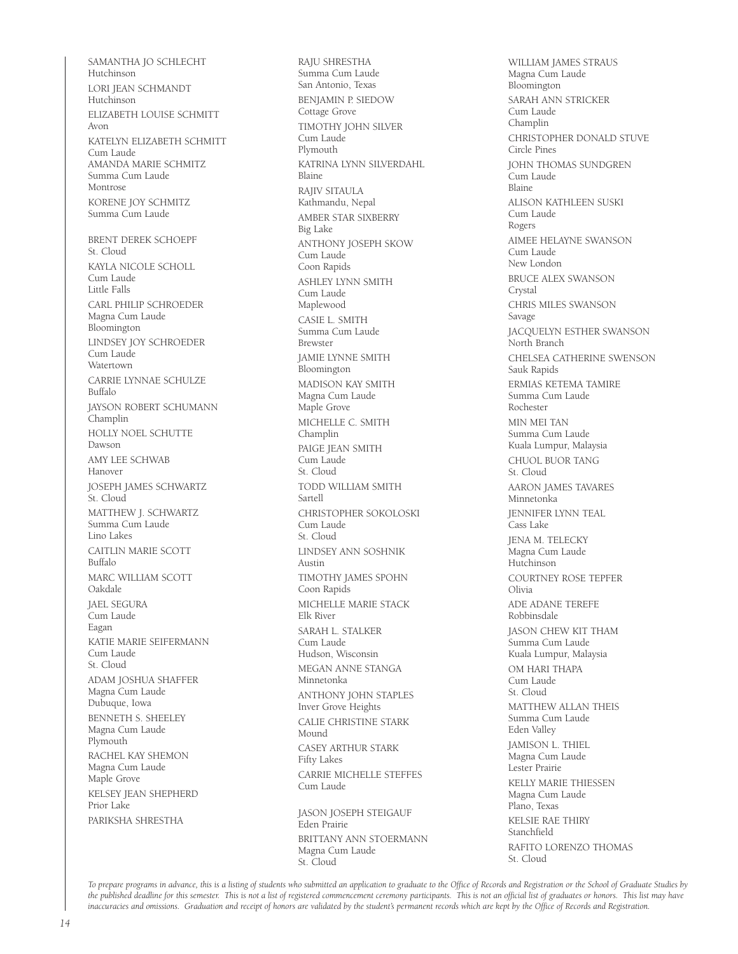SAMANTHA JO SCHLECHT Hutchinson LORI JEAN SCHMANDT Hutchinson ELIZABETH LOUISE SCHMITT Avon KATELYN ELIZABETH SCHMITT Cum Laude AMANDA MARIE SCHMITZ Summa Cum Laude Montrose KORENE JOY SCHMITZ Summa Cum Laude BRENT DEREK SCHOEPF St. Cloud KAYLA NICOLE SCHOLL Cum Laude Little Falls CARL PHILIP SCHROEDER Magna Cum Laude Bloomington LINDSEY JOY SCHROEDER Cum Laude Watertown CARRIE LYNNAE SCHULZE Buffalo JAYSON ROBERT SCHUMANN Champlin HOLLY NOEL SCHUTTE Dawson AMY LEE SCHWAB Hanover JOSEPH JAMES SCHWARTZ St. Cloud MATTHEW J. SCHWARTZ Summa Cum Laude Lino Lakes CAITLIN MARIE SCOTT Buffalo MARC WILLIAM SCOTT Oakdale JAEL SEGURA Cum Laude Eagan KATIE MARIE SEIFERMANN Cum Laude St. Cloud ADAM JOSHUA SHAFFER Magna Cum Laude Dubuque, Iowa BENNETH S. SHEELEY Magna Cum Laude Plymouth RACHEL KAY SHEMON Magna Cum Laude Maple Grove KELSEY JEAN SHEPHERD Prior Lake PARIKSHA SHRESTHA

RAJU SHRESTHA Summa Cum Laude San Antonio, Texas BENJAMIN P. SIEDOW Cottage Grove TIMOTHY JOHN SILVER Cum Laude Plymouth KATRINA LYNN SILVERDAHL Blaine RAJIV SITAULA Kathmandu, Nepal AMBER STAR SIXBERRY Big Lake ANTHONY JOSEPH SKOW Cum Laude Coon Rapids ASHLEY LYNN SMITH Cum Laude Maplewood CASIE L. SMITH Summa Cum Laude Brewster JAMIE LYNNE SMITH Bloomington MADISON KAY SMITH Magna Cum Laude Maple Grove MICHELLE C. SMITH Champlin PAIGE JEAN SMITH Cum Laude St. Cloud TODD WILLIAM SMITH Sartell CHRISTOPHER SOKOLOSKI Cum Laude St. Cloud LINDSEY ANN SOSHNIK Austin TIMOTHY JAMES SPOHN Coon Rapids MICHELLE MARIE STACK Elk River SARAH L. STALKER Cum Laude Hudson, Wisconsin MEGAN ANNE STANGA Minnetonka ANTHONY JOHN STAPLES Inver Grove Heights CALIE CHRISTINE STARK Mound CASEY ARTHUR STARK Fifty Lakes CARRIE MICHELLE STEFFES Cum Laude JASON JOSEPH STEIGAUF

Eden Prairie BRITTANY ANN STOERMANN Magna Cum Laude St. Cloud

WILLIAM JAMES STRAUS Magna Cum Laude Bloomington SARAH ANN STRICKER Cum Laude Champlin CHRISTOPHER DONALD STUVE Circle Pines JOHN THOMAS SUNDGREN Cum Laude Blaine ALISON KATHLEEN SUSKI Cum Laude Rogers AIMEE HELAYNE SWANSON Cum Laude New London BRUCE ALEX SWANSON Crystal CHRIS MILES SWANSON Savage JACQUELYN ESTHER SWANSON North Branch CHELSEA CATHERINE SWENSON Sauk Rapids ERMIAS KETEMA TAMIRE Summa Cum Laude Rochester MIN MEI TAN Summa Cum Laude Kuala Lumpur, Malaysia CHUOL BUOR TANG St. Cloud AARON JAMES TAVARES Minnetonka JENNIFER LYNN TEAL Cass Lake JENA M. TELECKY Magna Cum Laude Hutchinson COURTNEY ROSE TEPFER Olivia ADE ADANE TEREFE Robbinsdale JASON CHEW KIT THAM Summa Cum Laude Kuala Lumpur, Malaysia OM HARI THAPA Cum Laude St. Cloud MATTHEW ALLAN THEIS Summa Cum Laude Eden Valley JAMISON L. THIEL Magna Cum Laude Lester Prairie KELLY MARIE THIESSEN Magna Cum Laude Plano, Texas KELSIE RAE THIRY Stanchfield RAFITO LORENZO THOMAS St. Cloud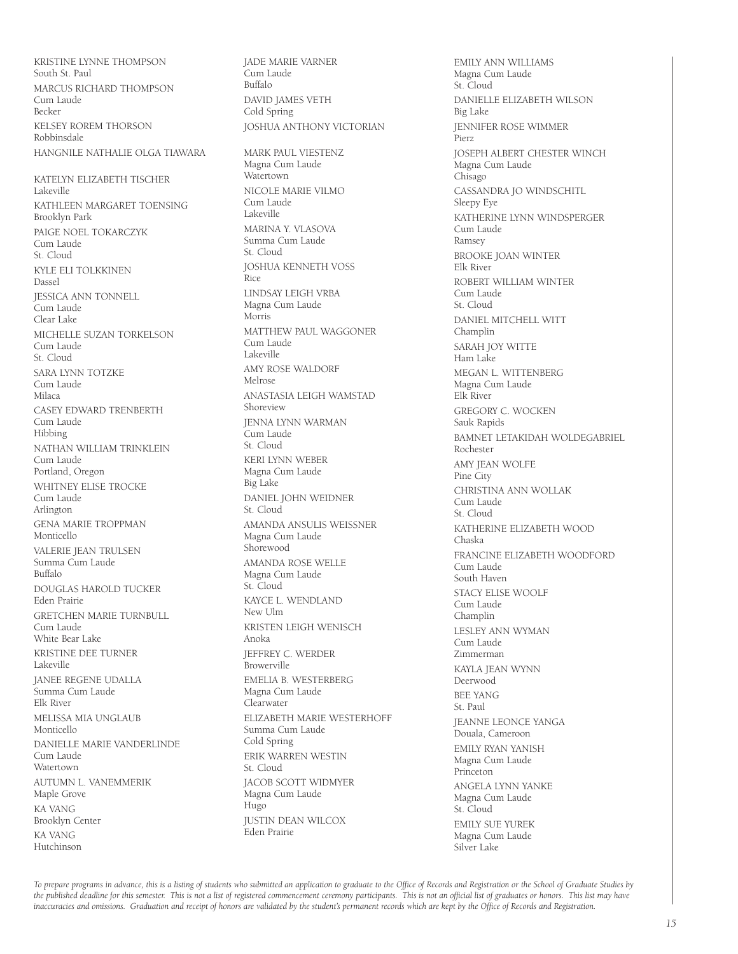KRISTINE LYNNE THOMPSON South St. Paul MARCUS RICHARD THOMPSON Cum Laude Becker KELSEY ROREM THORSON Robbinsdale HANGNILE NATHALIE OLGA TIAWARA KATELYN ELIZABETH TISCHER Lakeville KATHLEEN MARGARET TOENSING Brooklyn Park PAIGE NOEL TOKARCZYK Cum Laude St. Cloud KYLE ELI TOLKKINEN Dassel JESSICA ANN TONNELL Cum Laude Clear Lake MICHELLE SUZAN TORKELSON Cum Laude St. Cloud SARA LYNN TOTZKE Cum Laude Milaca CASEY EDWARD TRENBERTH Cum Laude Hibbing NATHAN WILLIAM TRINKLEIN Cum Laude Portland, Oregon WHITNEY ELISE TROCKE Cum Laude Arlington GENA MARIE TROPPMAN Monticello VALERIE JEAN TRULSEN Summa Cum Laude Buffalo DOUGLAS HAROLD TUCKER Eden Prairie GRETCHEN MARIE TURNBULL Cum Laude White Bear Lake KRISTINE DEE TURNER Lakeville JANEE REGENE UDALLA Summa Cum Laude Elk River MELISSA MIA UNGLAUB Monticello DANIELLE MARIE VANDERLINDE Cum Laude Watertown AUTUMN L. VANEMMERIK Maple Grove KA VANG Brooklyn Center KA VANG Hutchinson

JADE MARIE VARNER Cum Laude Buffalo DAVID JAMES VETH Cold Spring JOSHUA ANTHONY VICTORIAN MARK PAUL VIESTENZ Magna Cum Laude Watertown NICOLE MARIE VILMO Cum Laude Lakeville MARINA Y. VI ASOVA Summa Cum Laude St. Cloud JOSHUA KENNETH VOSS Rice LINDSAY LEIGH VRBA Magna Cum Laude Morris MATTHEW PAUL WAGGONER Cum Laude Lakeville AMY ROSE WALDORF Melrose ANASTASIA LEIGH WAMSTAD Shoreview JENNA LYNN WARMAN Cum Laude St. Cloud KERI LYNN WEBER Magna Cum Laude Big Lake DANIEL JOHN WEIDNER St. Cloud AMANDA ANSULIS WEISSNER Magna Cum Laude Shorewood AMANDA ROSE WELLE Magna Cum Laude St. Cloud KAYCE L. WENDLAND New Ulm KRISTEN LEIGH WENISCH Anoka JEFFREY C. WERDER Browerville EMELIA B. WESTERBERG Magna Cum Laude Clearwater ELIZABETH MARIE WESTERHOFF Summa Cum Laude Cold Spring ERIK WARREN WESTIN St. Cloud JACOB SCOTT WIDMYER Magna Cum Laude Hugo JUSTIN DEAN WILCOX Eden Prairie

EMILY ANN WILLIAMS Magna Cum Laude St. Cloud DANIELLE ELIZABETH WILSON Big Lake JENNIFER ROSE WIMMER Pierz JOSEPH ALBERT CHESTER WINCH Magna Cum Laude Chisago CASSANDRA JO WINDSCHITL Sleepy Eye KATHERINE LYNN WINDSPERGER Cum Laude Ramsey BROOKE JOAN WINTER Elk River ROBERT WILLIAM WINTER Cum Laude St. Cloud DANIEL MITCHELL WITT Champlin SARAH JOY WITTE Ham Lake MEGAN L. WITTENBERG Magna Cum Laude Elk River GREGORY C. WOCKEN Sauk Rapids BAMNET LETAKIDAH WOLDEGABRIEL Rochester AMY JEAN WOLFE Pine City CHRISTINA ANN WOLLAK Cum Laude St. Cloud KATHERINE ELIZABETH WOOD Chaska FRANCINE ELIZABETH WOODFORD Cum Laude South Haven STACY ELISE WOOLF Cum Laude Champlin LESLEY ANN WYMAN Cum Laude Zimmerman KAYLA JEAN WYNN Deerwood BEE YANG St. Paul JEANNE LEONCE YANGA Douala, Cameroon EMILY RYAN YANISH Magna Cum Laude Princeton ANGELA LYNN YANKE Magna Cum Laude St. Cloud EMILY SUE YUREK Magna Cum Laude Silver Lake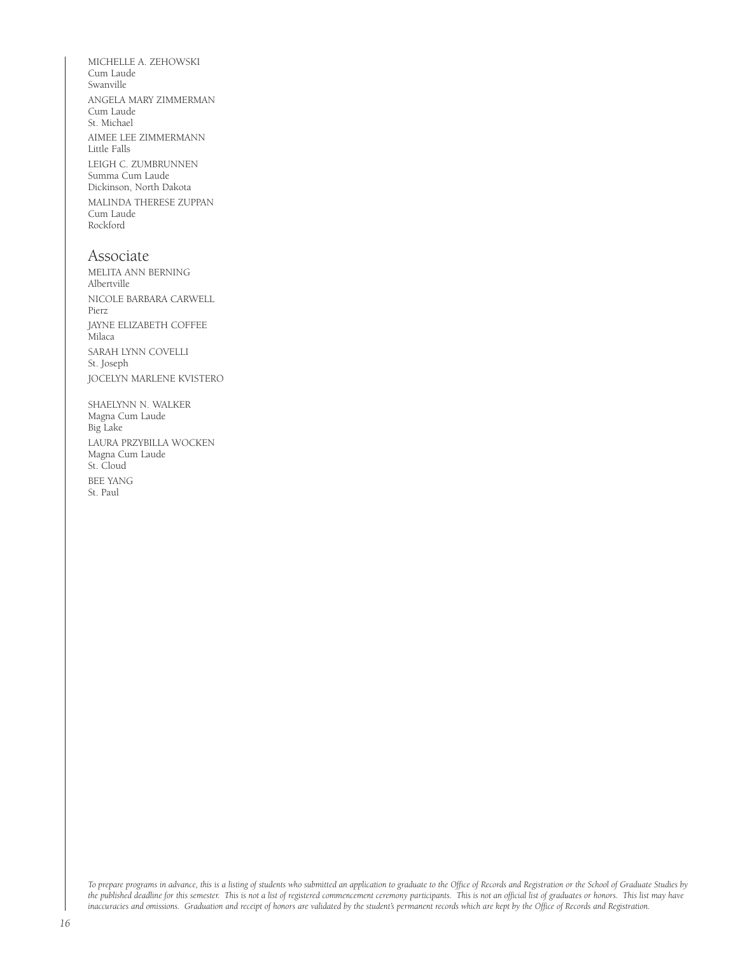MICHELLE A. ZEHOWSKI Cum Laude Swanville ANGELA MARY ZIMMERMAN Cum Laude St. Michael AIMEE LEE ZIMMERMANN Little Falls LEIGH C. ZUMBRUNNEN Summa Cum Laude Dickinson, North Dakota MALINDA THERESE ZUPPAN Cum Laude Rockford

#### Associate

MELITA ANN BERNING Albertville NICOLE BARBARA CARWELL Pierz JAYNE ELIZABETH COFFEE Milaca SARAH LYNN COVELLI St. Joseph JOCELYN MARLENE KVISTERO

SHAELYNN N. WALKER Magna Cum Laude Big Lake LAURA PRZYBILLA WOCKEN Magna Cum Laude St. Cloud BEE YANG St. Paul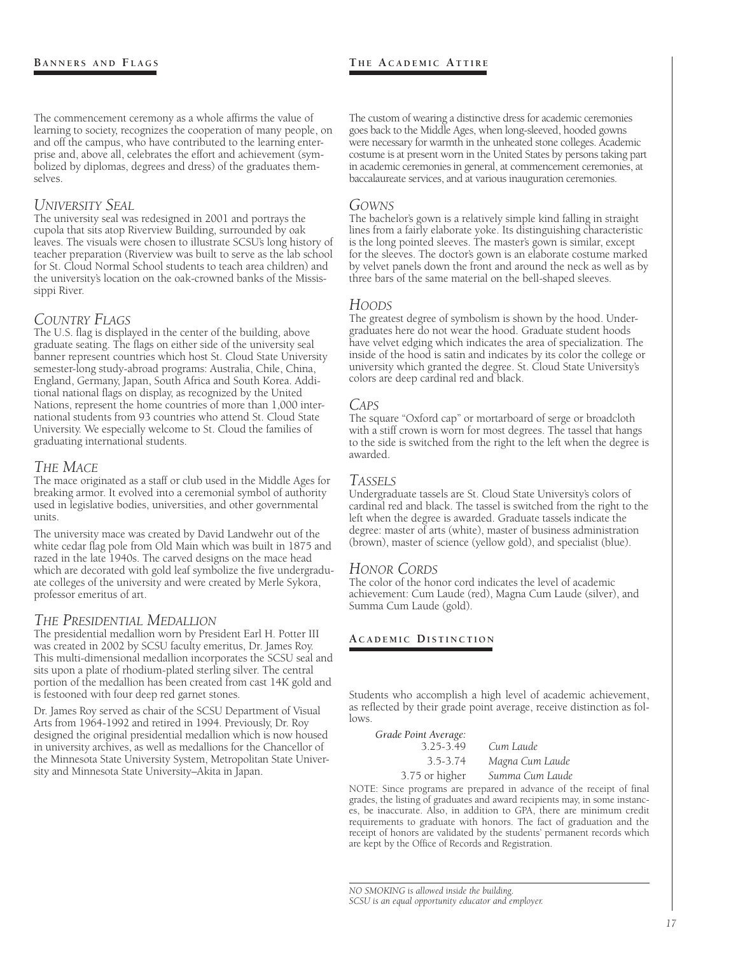The commencement ceremony as a whole affirms the value of learning to society, recognizes the cooperation of many people, on and off the campus, who have contributed to the learning enterprise and, above all, celebrates the effort and achievement (symbolized by diplomas, degrees and dress) of the graduates themselves.

#### *University Seal*

The university seal was redesigned in 2001 and portrays the cupola that sits atop Riverview Building, surrounded by oak leaves. The visuals were chosen to illustrate SCSU's long history of teacher preparation (Riverview was built to serve as the lab school for St. Cloud Normal School students to teach area children) and the university's location on the oak-crowned banks of the Mississippi River.

#### *Country Flags*

The U.S. flag is displayed in the center of the building, above graduate seating. The flags on either side of the university seal banner represent countries which host St. Cloud State University semester-long study-abroad programs: Australia, Chile, China, England, Germany, Japan, South Africa and South Korea. Additional national flags on display, as recognized by the United Nations, represent the home countries of more than 1,000 international students from 93 countries who attend St. Cloud State University. We especially welcome to St. Cloud the families of graduating international students.

#### *The Mace*

The mace originated as a staff or club used in the Middle Ages for breaking armor. It evolved into a ceremonial symbol of authority used in legislative bodies, universities, and other governmental units.

The university mace was created by David Landwehr out of the white cedar flag pole from Old Main which was built in 1875 and razed in the late 1940s. The carved designs on the mace head which are decorated with gold leaf symbolize the five undergraduate colleges of the university and were created by Merle Sykora, professor emeritus of art.

#### *The Presidential Medallion*

The presidential medallion worn by President Earl H. Potter III was created in 2002 by SCSU faculty emeritus, Dr. James Roy. This multi-dimensional medallion incorporates the SCSU seal and sits upon a plate of rhodium-plated sterling silver. The central portion of the medallion has been created from cast 14K gold and is festooned with four deep red garnet stones.

Dr. James Roy served as chair of the SCSU Department of Visual Arts from 1964-1992 and retired in 1994. Previously, Dr. Roy designed the original presidential medallion which is now housed in university archives, as well as medallions for the Chancellor of the Minnesota State University System, Metropolitan State University and Minnesota State University–Akita in Japan.

#### **T h e A c a d e m i c At t i r e**

The custom of wearing a distinctive dress for academic ceremonies goes back to the Middle Ages, when long-sleeved, hooded gowns were necessary for warmth in the unheated stone colleges. Academic costume is at present worn in the United States by persons taking part in academic ceremonies in general, at commencement ceremonies, at baccalaureate services, and at various inauguration ceremonies.

#### *Gowns*

The bachelor's gown is a relatively simple kind falling in straight lines from a fairly elaborate yoke. Its distinguishing characteristic is the long pointed sleeves. The master's gown is similar, except for the sleeves. The doctor's gown is an elaborate costume marked by velvet panels down the front and around the neck as well as by three bars of the same material on the bell-shaped sleeves.

#### *Hoods*

The greatest degree of symbolism is shown by the hood. Undergraduates here do not wear the hood. Graduate student hoods have velvet edging which indicates the area of specialization. The inside of the hood is satin and indicates by its color the college or university which granted the degree. St. Cloud State University's colors are deep cardinal red and black.

#### *Caps*

The square "Oxford cap" or mortarboard of serge or broadcloth with a stiff crown is worn for most degrees. The tassel that hangs to the side is switched from the right to the left when the degree is awarded.

#### *Tassels*

Undergraduate tassels are St. Cloud State University's colors of cardinal red and black. The tassel is switched from the right to the left when the degree is awarded. Graduate tassels indicate the degree: master of arts (white), master of business administration (brown), master of science (yellow gold), and specialist (blue).

#### *Honor Cords*

The color of the honor cord indicates the level of academic achievement: Cum Laude (red), Magna Cum Laude (silver), and Summa Cum Laude (gold).

#### **A c a d e m i c Di s t i n c t i o n**

Students who accomplish a high level of academic achievement, as reflected by their grade point average, receive distinction as follows.

| Grade Point Average: |                 |
|----------------------|-----------------|
| $3.25 - 3.49$        | Cum Laude       |
| 3.5-3.74             | Magna Cum Laude |
| 3.75 or higher       | Summa Cum Laude |

NOTE: Since programs are prepared in advance of the receipt of final grades, the listing of graduates and award recipients may, in some instances, be inaccurate. Also, in addition to GPA, there are minimum credit requirements to graduate with honors. The fact of graduation and the receipt of honors are validated by the students' permanent records which are kept by the Office of Records and Registration.

*NO SMOKING is allowed inside the building. SCSU is an equal opportunity educator and employer.*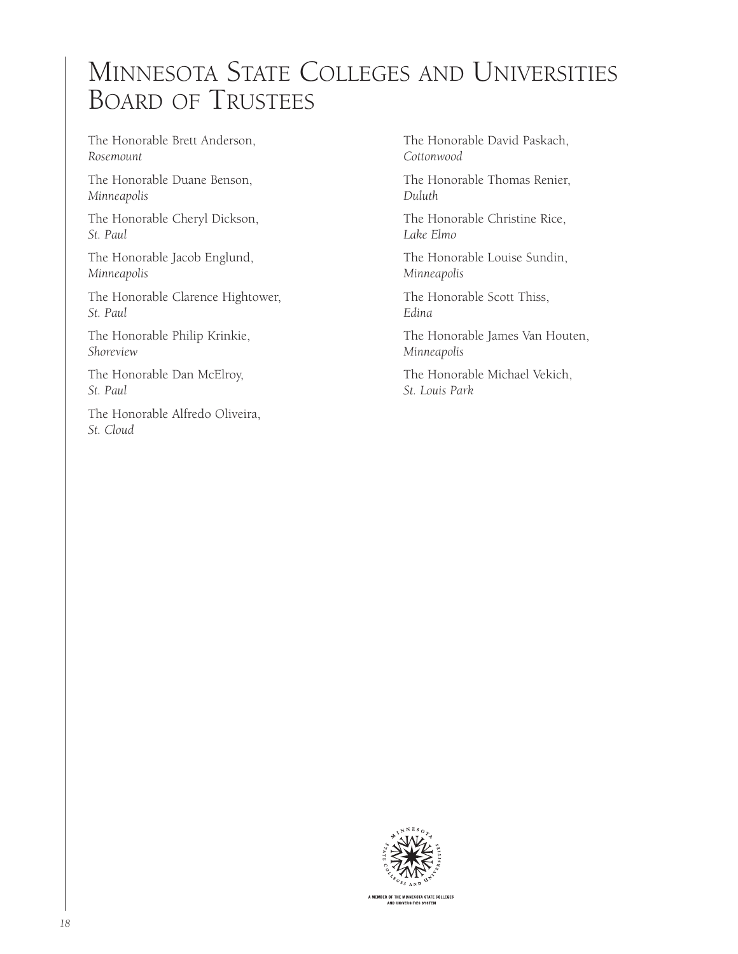# Minnesota State Colleges and Universities Board of Trustees

The Honorable Brett Anderson, *Rosemount*

The Honorable Duane Benson, *Minneapolis*

The Honorable Cheryl Dickson, *St. Paul*

The Honorable Jacob Englund, *Minneapolis*

The Honorable Clarence Hightower, *St. Paul*

The Honorable Philip Krinkie, *Shoreview*

The Honorable Dan McElroy, *St. Paul*

The Honorable Alfredo Oliveira, *St. Cloud*

The Honorable David Paskach, *Cottonwood*

The Honorable Thomas Renier, *Duluth*

The Honorable Christine Rice, *Lake Elmo*

The Honorable Louise Sundin, *Minneapolis*

The Honorable Scott Thiss, *Edina*

The Honorable James Van Houten, *Minneapolis*

The Honorable Michael Vekich, *St. Louis Park*



A MEMBER OF THE MINNESOTA STATE COLLEGES<br>AND UNIVERSITIES SYSTEM